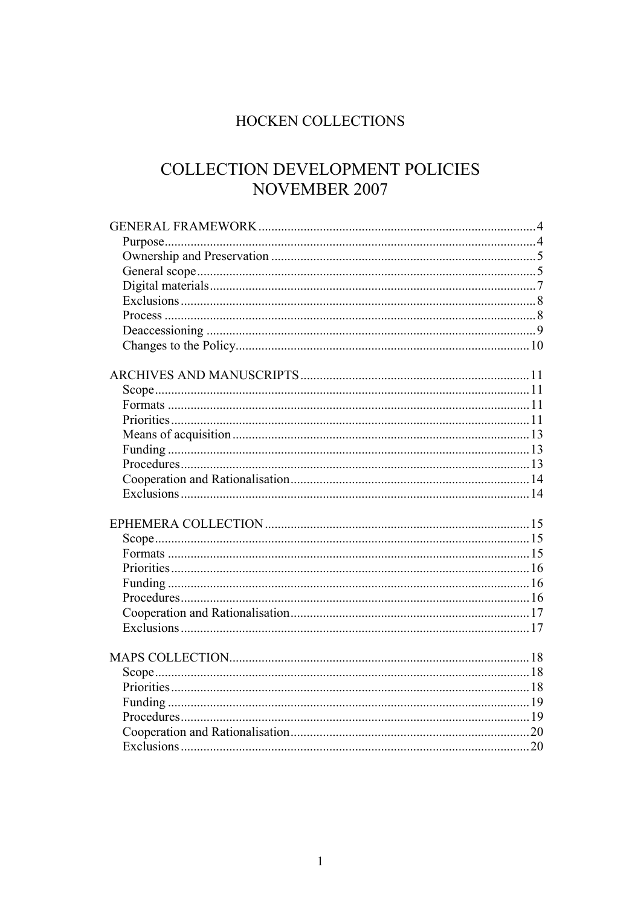# HOCKEN COLLECTIONS

# COLLECTION DEVELOPMENT POLICIES NOVEMBER 2007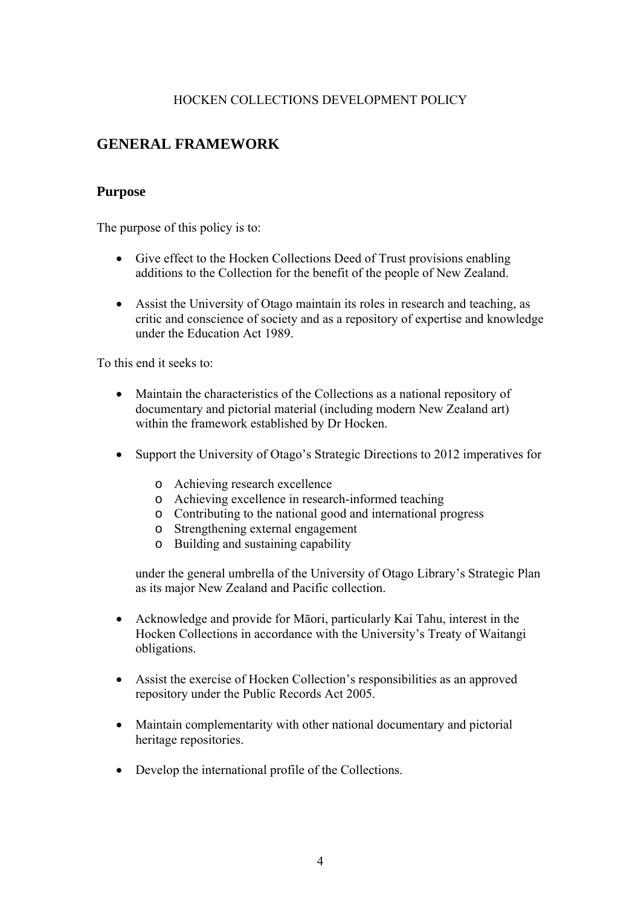#### HOCKEN COLLECTIONS DEVELOPMENT POLICY

# <span id="page-3-0"></span>**GENERAL FRAMEWORK**

#### **Purpose**

The purpose of this policy is to:

- Give effect to the Hocken Collections Deed of Trust provisions enabling additions to the Collection for the benefit of the people of New Zealand.
- Assist the University of Otago maintain its roles in research and teaching, as critic and conscience of society and as a repository of expertise and knowledge under the Education Act 1989.

To this end it seeks to:

- Maintain the characteristics of the Collections as a national repository of documentary and pictorial material (including modern New Zealand art) within the framework established by Dr Hocken.
- Support the University of Otago's Strategic Directions to 2012 imperatives for
	- o Achieving research excellence
	- o Achieving excellence in research-informed teaching
	- o Contributing to the national good and international progress
	- o Strengthening external engagement
	- o Building and sustaining capability

under the general umbrella of the University of Otago Library's Strategic Plan as its major New Zealand and Pacific collection.

- Acknowledge and provide for Māori, particularly Kai Tahu, interest in the Hocken Collections in accordance with the University's Treaty of Waitangi obligations.
- Assist the exercise of Hocken Collection's responsibilities as an approved repository under the Public Records Act 2005.
- Maintain complementarity with other national documentary and pictorial heritage repositories.
- Develop the international profile of the Collections.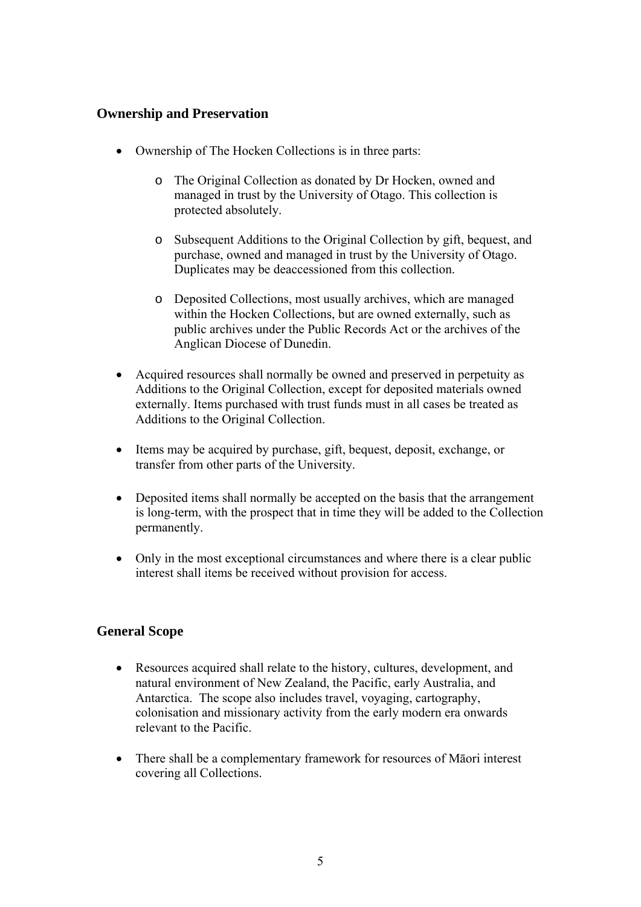## <span id="page-4-0"></span>**Ownership and Preservation**

- Ownership of The Hocken Collections is in three parts:
	- o The Original Collection as donated by Dr Hocken, owned and managed in trust by the University of Otago. This collection is protected absolutely.
	- o Subsequent Additions to the Original Collection by gift, bequest, and purchase, owned and managed in trust by the University of Otago. Duplicates may be deaccessioned from this collection.
	- o Deposited Collections, most usually archives, which are managed within the Hocken Collections, but are owned externally, such as public archives under the Public Records Act or the archives of the Anglican Diocese of Dunedin.
- Acquired resources shall normally be owned and preserved in perpetuity as Additions to the Original Collection, except for deposited materials owned externally. Items purchased with trust funds must in all cases be treated as Additions to the Original Collection.
- Items may be acquired by purchase, gift, bequest, deposit, exchange, or transfer from other parts of the University.
- Deposited items shall normally be accepted on the basis that the arrangement is long-term, with the prospect that in time they will be added to the Collection permanently.
- Only in the most exceptional circumstances and where there is a clear public interest shall items be received without provision for access.

#### **General Scope**

- Resources acquired shall relate to the history, cultures, development, and natural environment of New Zealand, the Pacific, early Australia, and Antarctica. The scope also includes travel, voyaging, cartography, colonisation and missionary activity from the early modern era onwards relevant to the Pacific.
- There shall be a complementary framework for resources of Māori interest covering all Collections.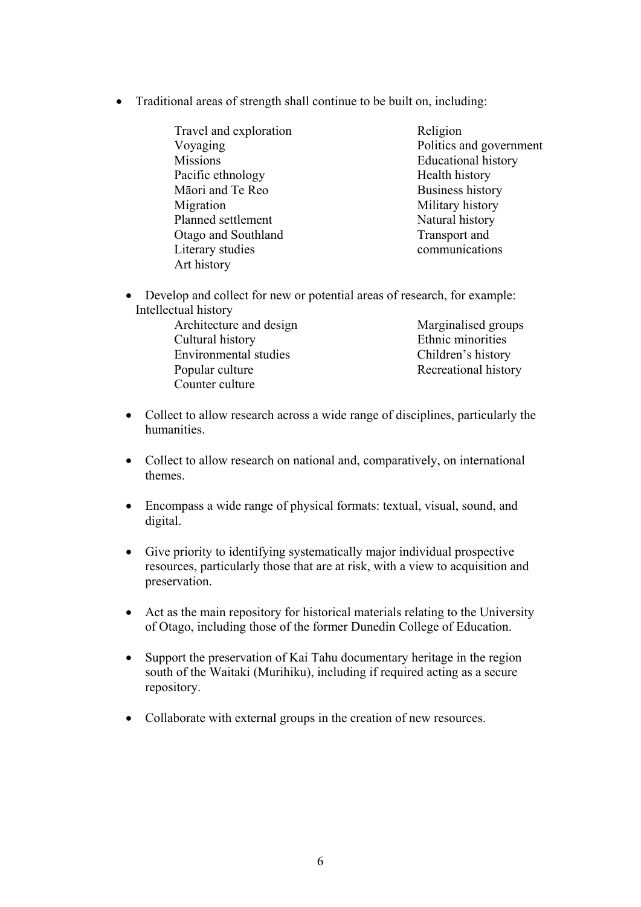- Traditional areas of strength shall continue to be built on, including:
	- Travel and exploration Voyaging **Missions** Pacific ethnology Māori and Te Reo Migration Planned settlement Otago and Southland Literary studies Art history Religion Politics and government Educational history Health history Business history Military history Natural history Transport and communications
	- Develop and collect for new or potential areas of research, for example: Intellectual history
		- Architecture and design Cultural history Environmental studies Popular culture Counter culture Marginalised groups Ethnic minorities Children's history Recreational history
	- Collect to allow research across a wide range of disciplines, particularly the humanities.
	- Collect to allow research on national and, comparatively, on international themes.
	- Encompass a wide range of physical formats: textual, visual, sound, and digital.
	- Give priority to identifying systematically major individual prospective resources, particularly those that are at risk, with a view to acquisition and preservation.
	- Act as the main repository for historical materials relating to the University of Otago, including those of the former Dunedin College of Education.
	- Support the preservation of Kai Tahu documentary heritage in the region south of the Waitaki (Murihiku), including if required acting as a secure repository.
	- Collaborate with external groups in the creation of new resources.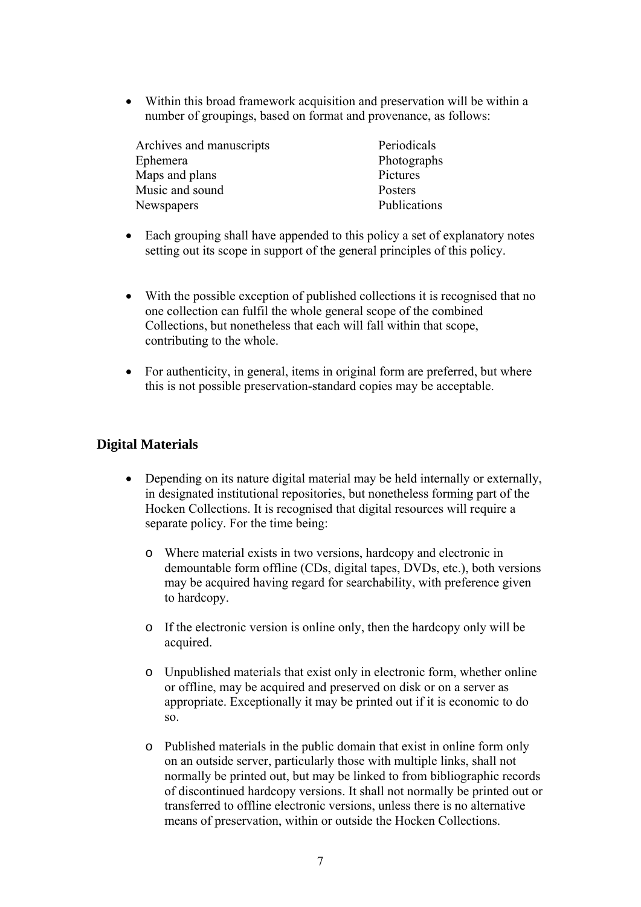<span id="page-6-0"></span>• Within this broad framework acquisition and preservation will be within a number of groupings, based on format and provenance, as follows:

| Archives and manuscripts | Periodicals  |
|--------------------------|--------------|
| Ephemera                 | Photographs  |
| Maps and plans           | Pictures     |
| Music and sound          | Posters      |
| Newspapers               | Publications |

- Each grouping shall have appended to this policy a set of explanatory notes setting out its scope in support of the general principles of this policy.
- With the possible exception of published collections it is recognised that no one collection can fulfil the whole general scope of the combined Collections, but nonetheless that each will fall within that scope, contributing to the whole.
- For authenticity, in general, items in original form are preferred, but where this is not possible preservation-standard copies may be acceptable.

### **Digital Materials**

- Depending on its nature digital material may be held internally or externally, in designated institutional repositories, but nonetheless forming part of the Hocken Collections. It is recognised that digital resources will require a separate policy. For the time being:
	- o Where material exists in two versions, hardcopy and electronic in demountable form offline (CDs, digital tapes, DVDs, etc.), both versions may be acquired having regard for searchability, with preference given to hardcopy.
	- o If the electronic version is online only, then the hardcopy only will be acquired.
	- o Unpublished materials that exist only in electronic form, whether online or offline, may be acquired and preserved on disk or on a server as appropriate. Exceptionally it may be printed out if it is economic to do so.
	- o Published materials in the public domain that exist in online form only on an outside server, particularly those with multiple links, shall not normally be printed out, but may be linked to from bibliographic records of discontinued hardcopy versions. It shall not normally be printed out or transferred to offline electronic versions, unless there is no alternative means of preservation, within or outside the Hocken Collections.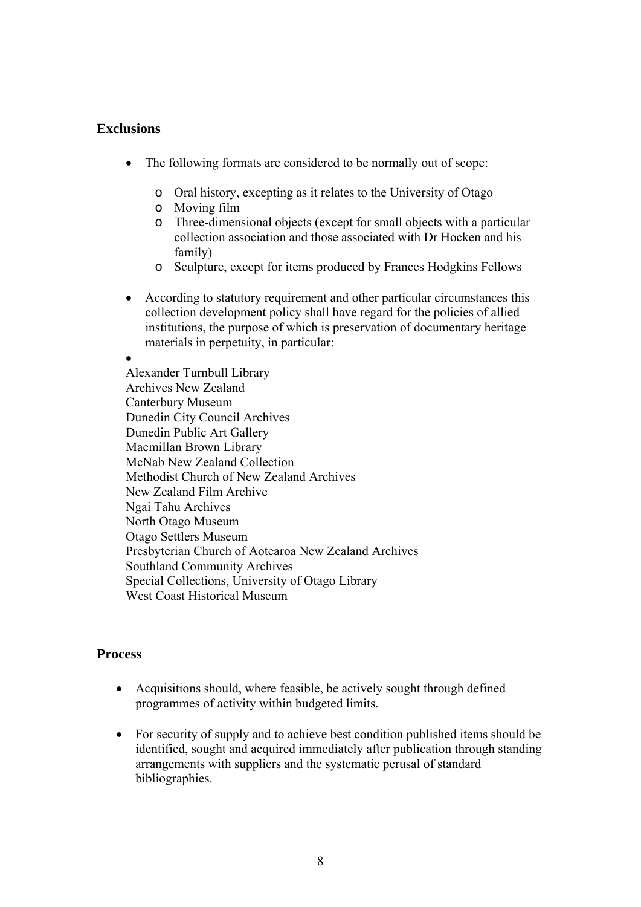#### <span id="page-7-0"></span>**Exclusions**

- The following formats are considered to be normally out of scope:
	- o Oral history, excepting as it relates to the University of Otago
	- o Moving film
	- o Three-dimensional objects (except for small objects with a particular collection association and those associated with Dr Hocken and his family)
	- o Sculpture, except for items produced by Frances Hodgkins Fellows
- According to statutory requirement and other particular circumstances this collection development policy shall have regard for the policies of allied institutions, the purpose of which is preservation of documentary heritage materials in perpetuity, in particular:

• Alexander Turnbull Library Archives New Zealand Canterbury Museum Dunedin City Council Archives Dunedin Public Art Gallery Macmillan Brown Library McNab New Zealand Collection Methodist Church of New Zealand Archives New Zealand Film Archive Ngai Tahu Archives North Otago Museum Otago Settlers Museum Presbyterian Church of Aotearoa New Zealand Archives Southland Community Archives Special Collections, University of Otago Library West Coast Historical Museum

#### **Process**

- Acquisitions should, where feasible, be actively sought through defined programmes of activity within budgeted limits.
- For security of supply and to achieve best condition published items should be identified, sought and acquired immediately after publication through standing arrangements with suppliers and the systematic perusal of standard bibliographies.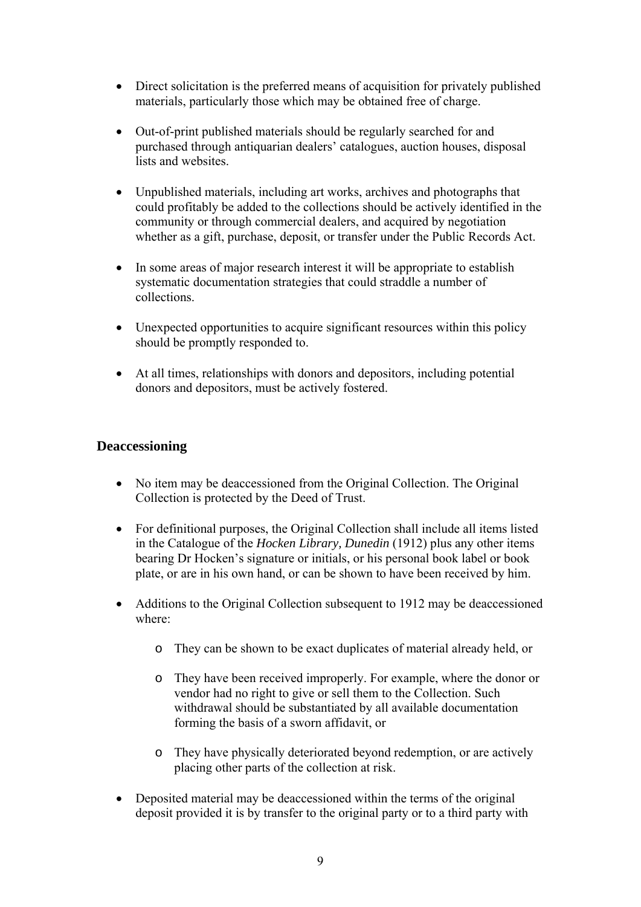- <span id="page-8-0"></span>• Direct solicitation is the preferred means of acquisition for privately published materials, particularly those which may be obtained free of charge.
- Out-of-print published materials should be regularly searched for and purchased through antiquarian dealers' catalogues, auction houses, disposal lists and websites.
- Unpublished materials, including art works, archives and photographs that could profitably be added to the collections should be actively identified in the community or through commercial dealers, and acquired by negotiation whether as a gift, purchase, deposit, or transfer under the Public Records Act.
- In some areas of major research interest it will be appropriate to establish systematic documentation strategies that could straddle a number of collections.
- Unexpected opportunities to acquire significant resources within this policy should be promptly responded to.
- At all times, relationships with donors and depositors, including potential donors and depositors, must be actively fostered.

## **Deaccessioning**

- No item may be deaccessioned from the Original Collection. The Original Collection is protected by the Deed of Trust.
- For definitional purposes, the Original Collection shall include all items listed in the Catalogue of the *Hocken Library, Dunedin* (1912) plus any other items bearing Dr Hocken's signature or initials, or his personal book label or book plate, or are in his own hand, or can be shown to have been received by him.
- Additions to the Original Collection subsequent to 1912 may be deaccessioned where:
	- o They can be shown to be exact duplicates of material already held, or
	- o They have been received improperly. For example, where the donor or vendor had no right to give or sell them to the Collection. Such withdrawal should be substantiated by all available documentation forming the basis of a sworn affidavit, or
	- o They have physically deteriorated beyond redemption, or are actively placing other parts of the collection at risk.
- Deposited material may be deaccessioned within the terms of the original deposit provided it is by transfer to the original party or to a third party with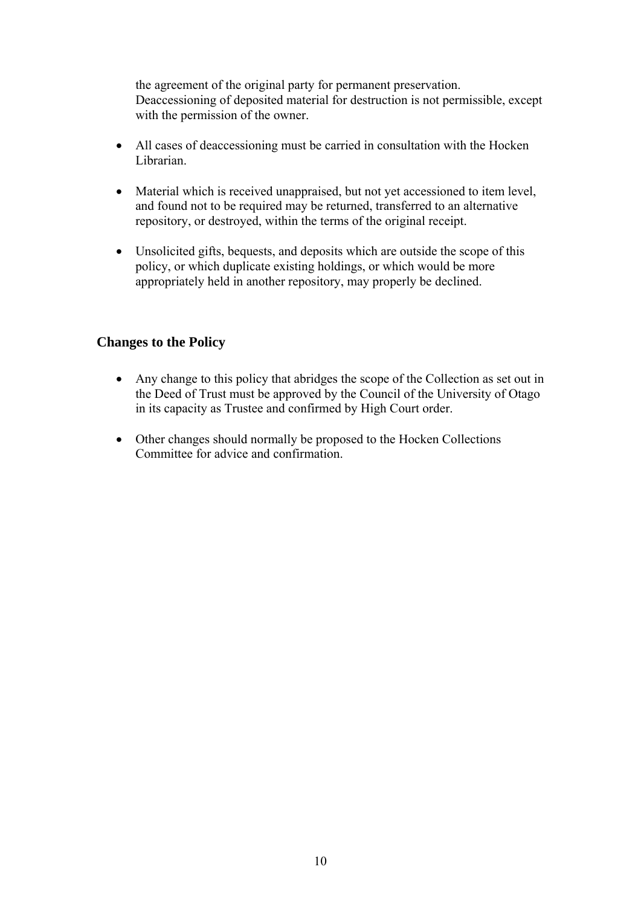<span id="page-9-0"></span>the agreement of the original party for permanent preservation. Deaccessioning of deposited material for destruction is not permissible, except with the permission of the owner.

- All cases of deaccessioning must be carried in consultation with the Hocken Librarian.
- Material which is received unappraised, but not yet accessioned to item level, and found not to be required may be returned, transferred to an alternative repository, or destroyed, within the terms of the original receipt.
- Unsolicited gifts, bequests, and deposits which are outside the scope of this policy, or which duplicate existing holdings, or which would be more appropriately held in another repository, may properly be declined.

#### **Changes to the Policy**

- Any change to this policy that abridges the scope of the Collection as set out in the Deed of Trust must be approved by the Council of the University of Otago in its capacity as Trustee and confirmed by High Court order.
- Other changes should normally be proposed to the Hocken Collections Committee for advice and confirmation.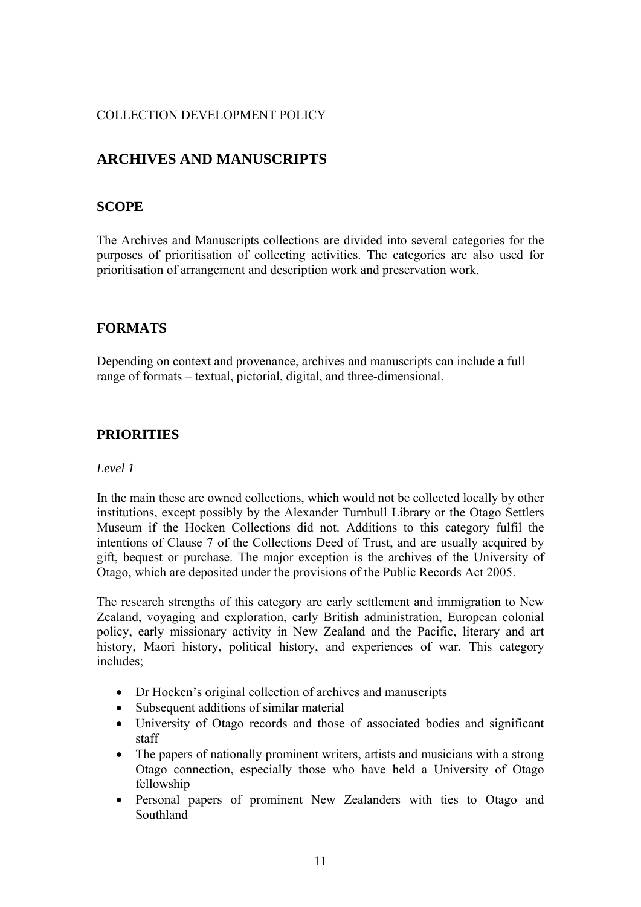# <span id="page-10-0"></span>**ARCHIVES AND MANUSCRIPTS**

### **SCOPE**

The Archives and Manuscripts collections are divided into several categories for the purposes of prioritisation of collecting activities. The categories are also used for prioritisation of arrangement and description work and preservation work.

## **FORMATS**

Depending on context and provenance, archives and manuscripts can include a full range of formats – textual, pictorial, digital, and three-dimensional.

### **PRIORITIES**

#### *Level 1*

In the main these are owned collections, which would not be collected locally by other institutions, except possibly by the Alexander Turnbull Library or the Otago Settlers Museum if the Hocken Collections did not. Additions to this category fulfil the intentions of Clause 7 of the Collections Deed of Trust, and are usually acquired by gift, bequest or purchase. The major exception is the archives of the University of Otago, which are deposited under the provisions of the Public Records Act 2005.

The research strengths of this category are early settlement and immigration to New Zealand, voyaging and exploration, early British administration, European colonial policy, early missionary activity in New Zealand and the Pacific, literary and art history, Maori history, political history, and experiences of war. This category includes;

- Dr Hocken's original collection of archives and manuscripts
- Subsequent additions of similar material
- University of Otago records and those of associated bodies and significant staff
- The papers of nationally prominent writers, artists and musicians with a strong Otago connection, especially those who have held a University of Otago fellowship
- Personal papers of prominent New Zealanders with ties to Otago and Southland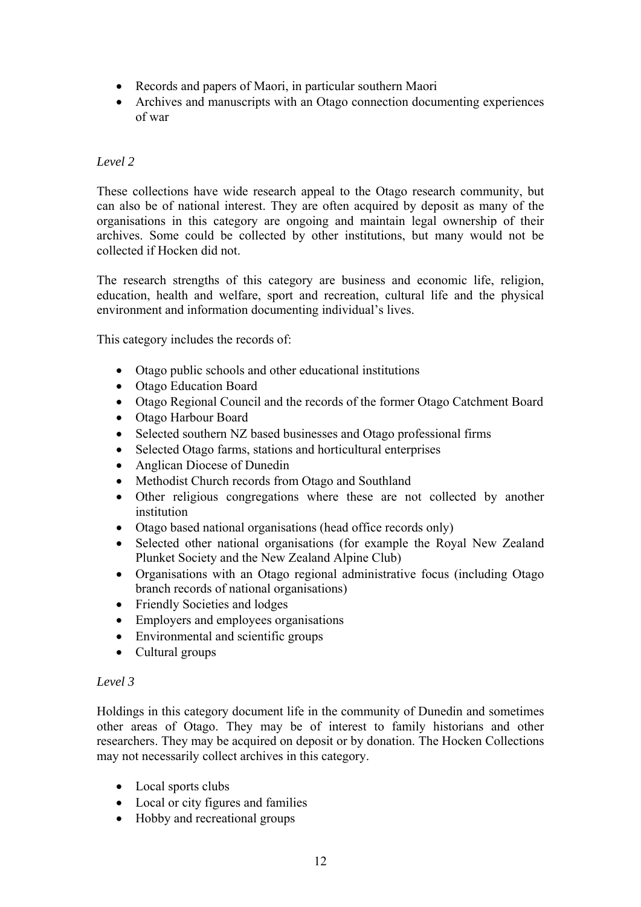- Records and papers of Maori, in particular southern Maori
- Archives and manuscripts with an Otago connection documenting experiences of war

#### *Level 2*

These collections have wide research appeal to the Otago research community, but can also be of national interest. They are often acquired by deposit as many of the organisations in this category are ongoing and maintain legal ownership of their archives. Some could be collected by other institutions, but many would not be collected if Hocken did not.

The research strengths of this category are business and economic life, religion, education, health and welfare, sport and recreation, cultural life and the physical environment and information documenting individual's lives.

This category includes the records of:

- Otago public schools and other educational institutions
- Otago Education Board
- Otago Regional Council and the records of the former Otago Catchment Board
- Otago Harbour Board
- Selected southern NZ based businesses and Otago professional firms
- Selected Otago farms, stations and horticultural enterprises
- Anglican Diocese of Dunedin
- Methodist Church records from Otago and Southland
- Other religious congregations where these are not collected by another institution
- Otago based national organisations (head office records only)
- Selected other national organisations (for example the Royal New Zealand Plunket Society and the New Zealand Alpine Club)
- Organisations with an Otago regional administrative focus (including Otago branch records of national organisations)
- Friendly Societies and lodges
- Employers and employees organisations
- Environmental and scientific groups
- Cultural groups

#### *Level 3*

Holdings in this category document life in the community of Dunedin and sometimes other areas of Otago. They may be of interest to family historians and other researchers. They may be acquired on deposit or by donation. The Hocken Collections may not necessarily collect archives in this category.

- Local sports clubs
- Local or city figures and families
- Hobby and recreational groups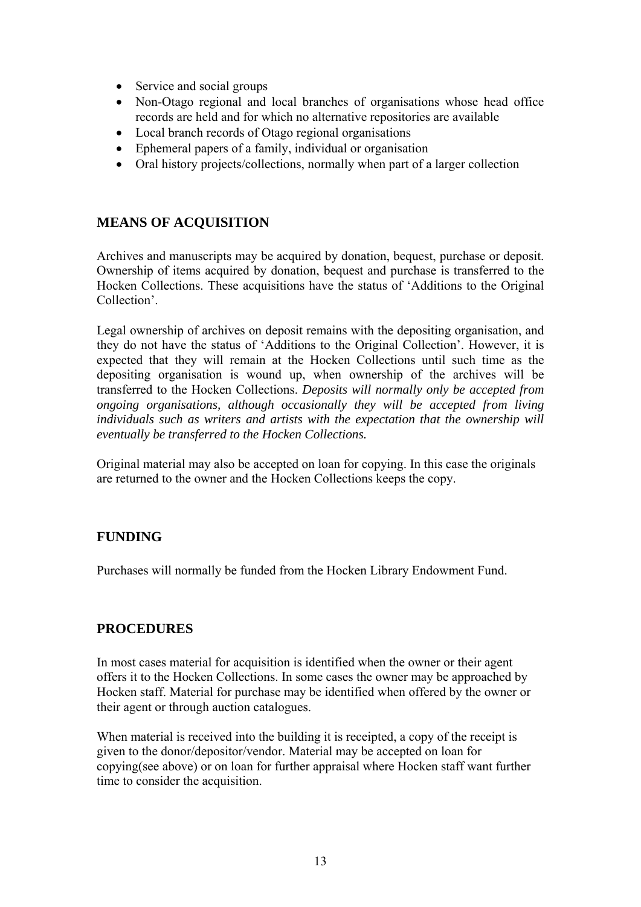- <span id="page-12-0"></span>• Service and social groups
- Non-Otago regional and local branches of organisations whose head office records are held and for which no alternative repositories are available
- Local branch records of Otago regional organisations
- Ephemeral papers of a family, individual or organisation
- Oral history projects/collections, normally when part of a larger collection

### **MEANS OF ACQUISITION**

Archives and manuscripts may be acquired by donation, bequest, purchase or deposit. Ownership of items acquired by donation, bequest and purchase is transferred to the Hocken Collections. These acquisitions have the status of 'Additions to the Original Collection'.

Legal ownership of archives on deposit remains with the depositing organisation, and they do not have the status of 'Additions to the Original Collection'. However, it is expected that they will remain at the Hocken Collections until such time as the depositing organisation is wound up, when ownership of the archives will be transferred to the Hocken Collections. *Deposits will normally only be accepted from ongoing organisations, although occasionally they will be accepted from living individuals such as writers and artists with the expectation that the ownership will eventually be transferred to the Hocken Collections.* 

Original material may also be accepted on loan for copying. In this case the originals are returned to the owner and the Hocken Collections keeps the copy.

#### **FUNDING**

Purchases will normally be funded from the Hocken Library Endowment Fund.

#### **PROCEDURES**

In most cases material for acquisition is identified when the owner or their agent offers it to the Hocken Collections. In some cases the owner may be approached by Hocken staff. Material for purchase may be identified when offered by the owner or their agent or through auction catalogues.

When material is received into the building it is receipted, a copy of the receipt is given to the donor/depositor/vendor. Material may be accepted on loan for copying(see above) or on loan for further appraisal where Hocken staff want further time to consider the acquisition.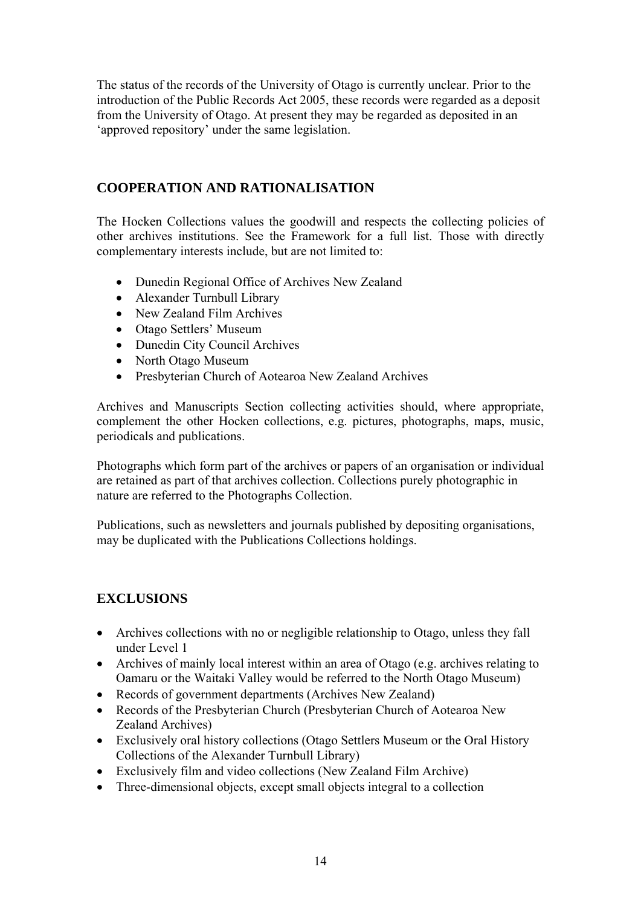<span id="page-13-0"></span>The status of the records of the University of Otago is currently unclear. Prior to the introduction of the Public Records Act 2005, these records were regarded as a deposit from the University of Otago. At present they may be regarded as deposited in an 'approved repository' under the same legislation.

## **COOPERATION AND RATIONALISATION**

The Hocken Collections values the goodwill and respects the collecting policies of other archives institutions. See the Framework for a full list. Those with directly complementary interests include, but are not limited to:

- Dunedin Regional Office of Archives New Zealand
- Alexander Turnbull Library
- New Zealand Film Archives
- Otago Settlers' Museum
- Dunedin City Council Archives
- North Otago Museum
- Presbyterian Church of Aotearoa New Zealand Archives

Archives and Manuscripts Section collecting activities should, where appropriate, complement the other Hocken collections, e.g. pictures, photographs, maps, music, periodicals and publications.

Photographs which form part of the archives or papers of an organisation or individual are retained as part of that archives collection. Collections purely photographic in nature are referred to the Photographs Collection.

Publications, such as newsletters and journals published by depositing organisations, may be duplicated with the Publications Collections holdings.

## **EXCLUSIONS**

- Archives collections with no or negligible relationship to Otago, unless they fall under Level 1
- Archives of mainly local interest within an area of Otago (e.g. archives relating to Oamaru or the Waitaki Valley would be referred to the North Otago Museum)
- Records of government departments (Archives New Zealand)
- Records of the Presbyterian Church (Presbyterian Church of Aotearoa New Zealand Archives)
- Exclusively oral history collections (Otago Settlers Museum or the Oral History Collections of the Alexander Turnbull Library)
- Exclusively film and video collections (New Zealand Film Archive)
- Three-dimensional objects, except small objects integral to a collection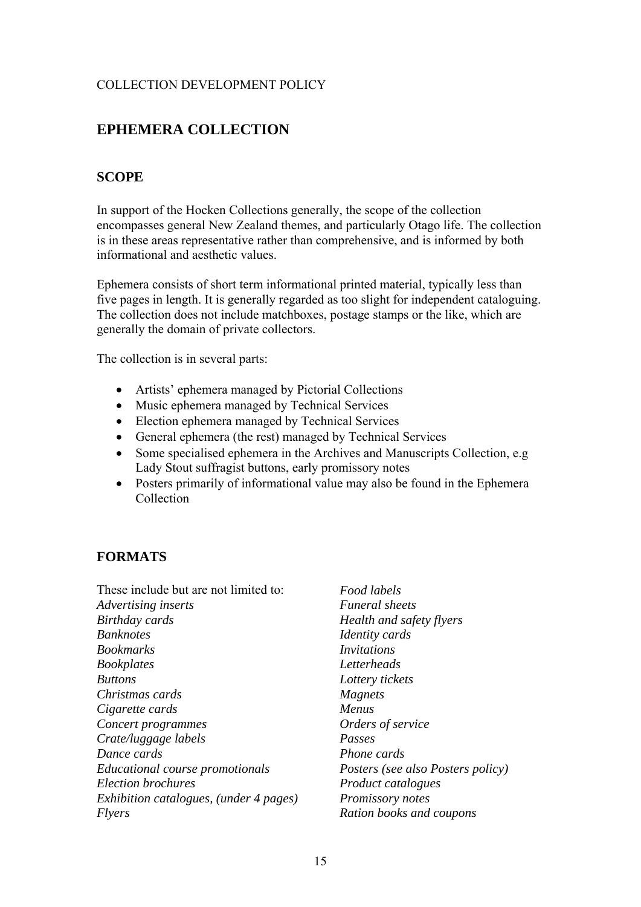# <span id="page-14-0"></span>**EPHEMERA COLLECTION**

### **SCOPE**

In support of the Hocken Collections generally, the scope of the collection encompasses general New Zealand themes, and particularly Otago life. The collection is in these areas representative rather than comprehensive, and is informed by both informational and aesthetic values.

Ephemera consists of short term informational printed material, typically less than five pages in length. It is generally regarded as too slight for independent cataloguing. The collection does not include matchboxes, postage stamps or the like, which are generally the domain of private collectors.

The collection is in several parts:

- Artists' ephemera managed by Pictorial Collections
- Music ephemera managed by Technical Services
- Election ephemera managed by Technical Services
- General ephemera (the rest) managed by Technical Services
- Some specialised ephemera in the Archives and Manuscripts Collection, e.g. Lady Stout suffragist buttons, early promissory notes
- Posters primarily of informational value may also be found in the Ephemera Collection

#### **FORMATS**

| These include but are not limited to:  |
|----------------------------------------|
| Advertising inserts                    |
| Birthday cards                         |
| <b>Banknotes</b>                       |
| <b>Bookmarks</b>                       |
| <b>Bookplates</b>                      |
| <b>Buttons</b>                         |
| Christmas cards                        |
| Cigarette cards                        |
| Concert programmes                     |
| Crate/luggage labels                   |
| Dance cards                            |
| <b>Educational course promotionals</b> |
| <b>Election brochures</b>              |
| Exhibition catalogues, (under 4 pages) |
| Flyers                                 |

*Food labels Funeral sheets Health and safety flyers Identity cards Invitations Letterheads Lottery tickets Magnets Menus Orders of service Passes Phone cards Posters (see also Posters policy) Product catalogues Promissory notes Ration books and coupons*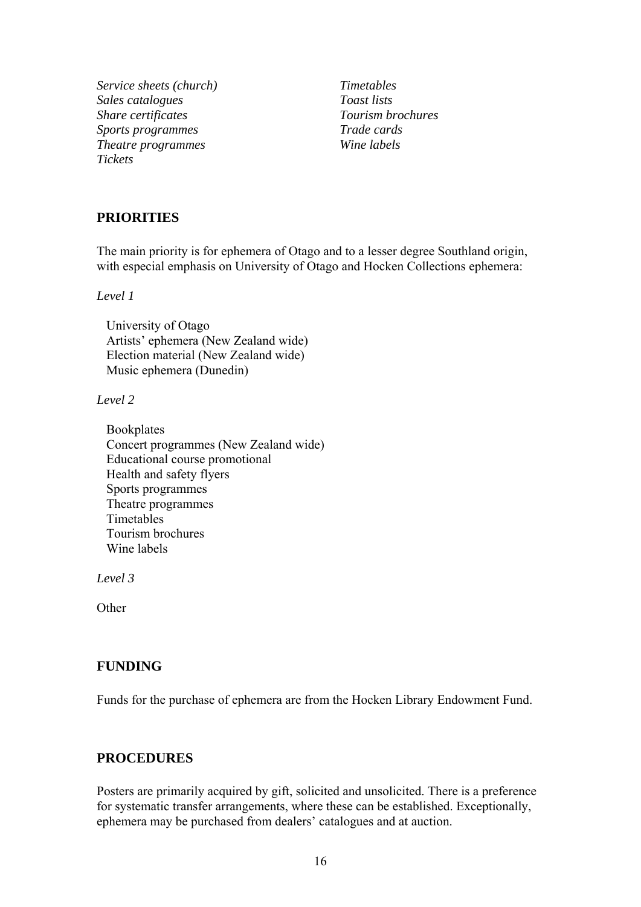<span id="page-15-0"></span>*Service sheets (church) Timetables Sales catalogues Toast lists Share certificates Tourism brochures Sports programmes Trade cards Theatre programmes Wine labels Tickets* 

### **PRIORITIES**

The main priority is for ephemera of Otago and to a lesser degree Southland origin, with especial emphasis on University of Otago and Hocken Collections ephemera:

*Level 1* 

University of Otago Artists' ephemera (New Zealand wide) Election material (New Zealand wide) Music ephemera (Dunedin)

#### *Level 2*

Bookplates Concert programmes (New Zealand wide) Educational course promotional Health and safety flyers Sports programmes Theatre programmes Timetables Tourism brochures Wine labels

*Level 3* 

**Other** 

#### **FUNDING**

Funds for the purchase of ephemera are from the Hocken Library Endowment Fund.

#### **PROCEDURES**

Posters are primarily acquired by gift, solicited and unsolicited. There is a preference for systematic transfer arrangements, where these can be established. Exceptionally, ephemera may be purchased from dealers' catalogues and at auction.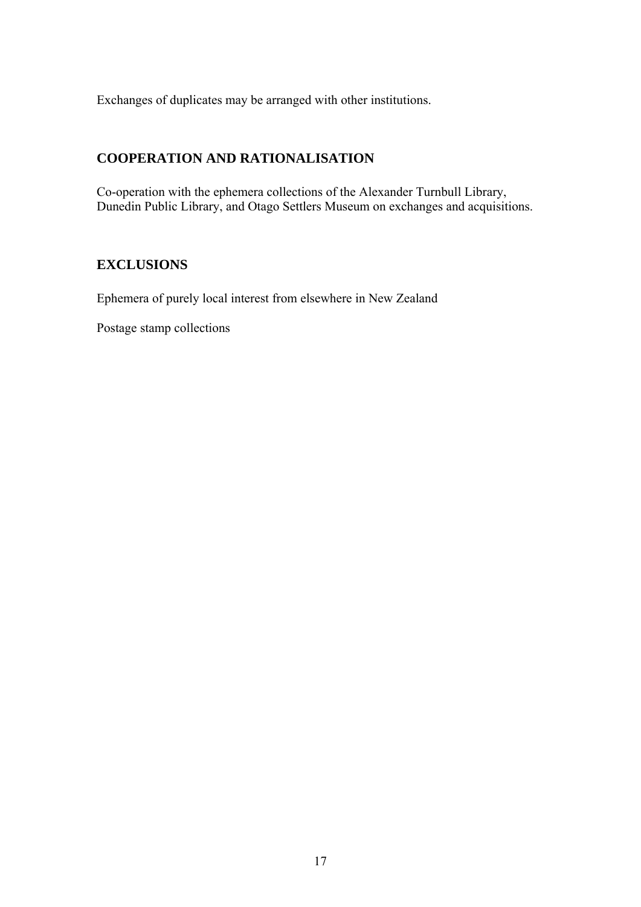<span id="page-16-0"></span>Exchanges of duplicates may be arranged with other institutions.

## **COOPERATION AND RATIONALISATION**

Co-operation with the ephemera collections of the Alexander Turnbull Library, Dunedin Public Library, and Otago Settlers Museum on exchanges and acquisitions.

## **EXCLUSIONS**

Ephemera of purely local interest from elsewhere in New Zealand

Postage stamp collections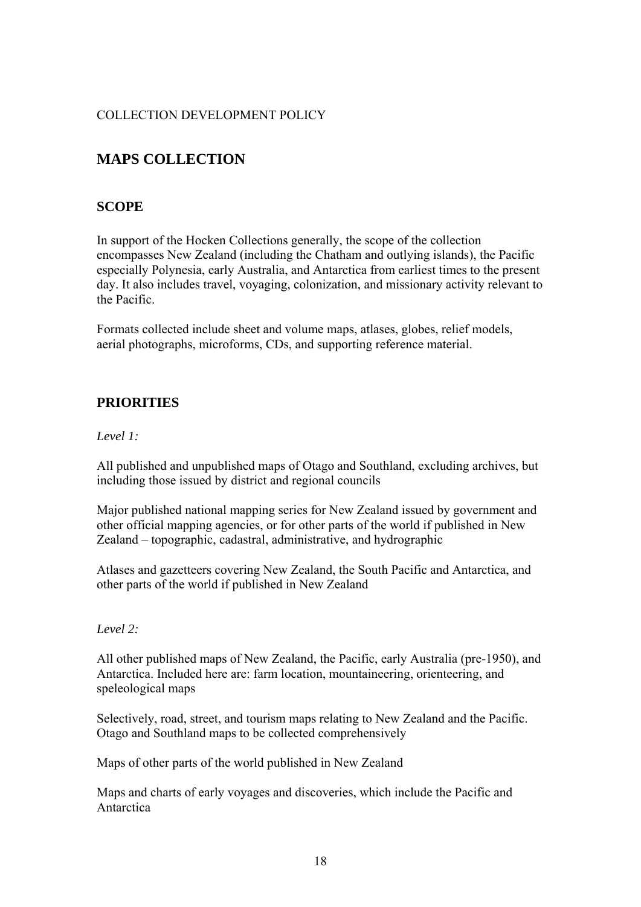# <span id="page-17-0"></span>**MAPS COLLECTION**

## **SCOPE**

In support of the Hocken Collections generally, the scope of the collection encompasses New Zealand (including the Chatham and outlying islands), the Pacific especially Polynesia, early Australia, and Antarctica from earliest times to the present day. It also includes travel, voyaging, colonization, and missionary activity relevant to the Pacific.

Formats collected include sheet and volume maps, atlases, globes, relief models, aerial photographs, microforms, CDs, and supporting reference material.

## **PRIORITIES**

#### *Level 1:*

All published and unpublished maps of Otago and Southland, excluding archives, but including those issued by district and regional councils

Major published national mapping series for New Zealand issued by government and other official mapping agencies, or for other parts of the world if published in New Zealand – topographic, cadastral, administrative, and hydrographic

Atlases and gazetteers covering New Zealand, the South Pacific and Antarctica, and other parts of the world if published in New Zealand

#### *Level 2:*

All other published maps of New Zealand, the Pacific, early Australia (pre-1950), and Antarctica. Included here are: farm location, mountaineering, orienteering, and speleological maps

Selectively, road, street, and tourism maps relating to New Zealand and the Pacific. Otago and Southland maps to be collected comprehensively

Maps of other parts of the world published in New Zealand

Maps and charts of early voyages and discoveries, which include the Pacific and Antarctica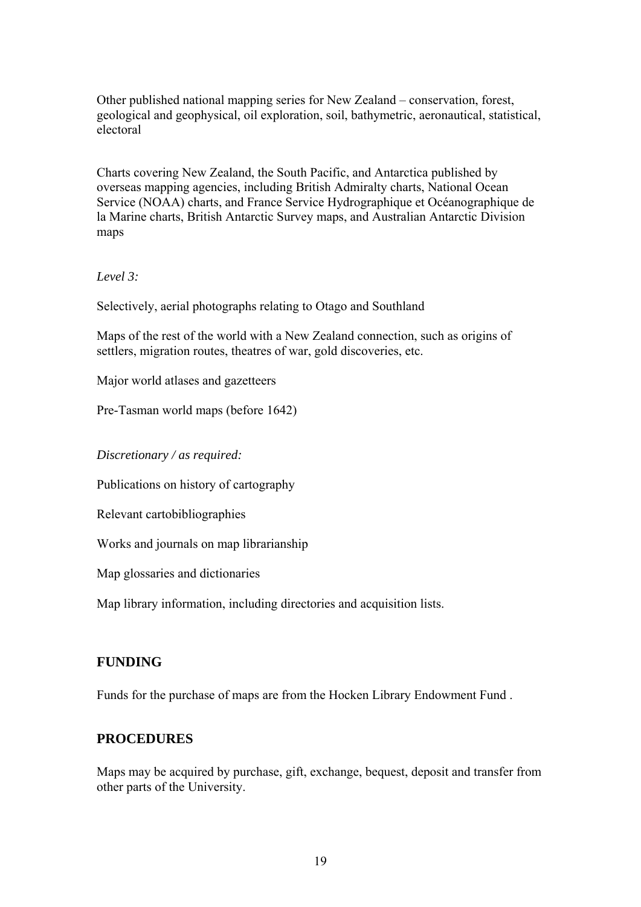<span id="page-18-0"></span>Other published national mapping series for New Zealand – conservation, forest, geological and geophysical, oil exploration, soil, bathymetric, aeronautical, statistical, electoral

Charts covering New Zealand, the South Pacific, and Antarctica published by overseas mapping agencies, including British Admiralty charts, National Ocean Service (NOAA) charts, and France Service Hydrographique et Océanographique de la Marine charts, British Antarctic Survey maps, and Australian Antarctic Division maps

*Level 3:* 

Selectively, aerial photographs relating to Otago and Southland

Maps of the rest of the world with a New Zealand connection, such as origins of settlers, migration routes, theatres of war, gold discoveries, etc.

Major world atlases and gazetteers

Pre-Tasman world maps (before 1642)

*Discretionary / as required:* 

Publications on history of cartography

Relevant cartobibliographies

Works and journals on map librarianship

Map glossaries and dictionaries

Map library information, including directories and acquisition lists.

#### **FUNDING**

Funds for the purchase of maps are from the Hocken Library Endowment Fund .

#### **PROCEDURES**

Maps may be acquired by purchase, gift, exchange, bequest, deposit and transfer from other parts of the University.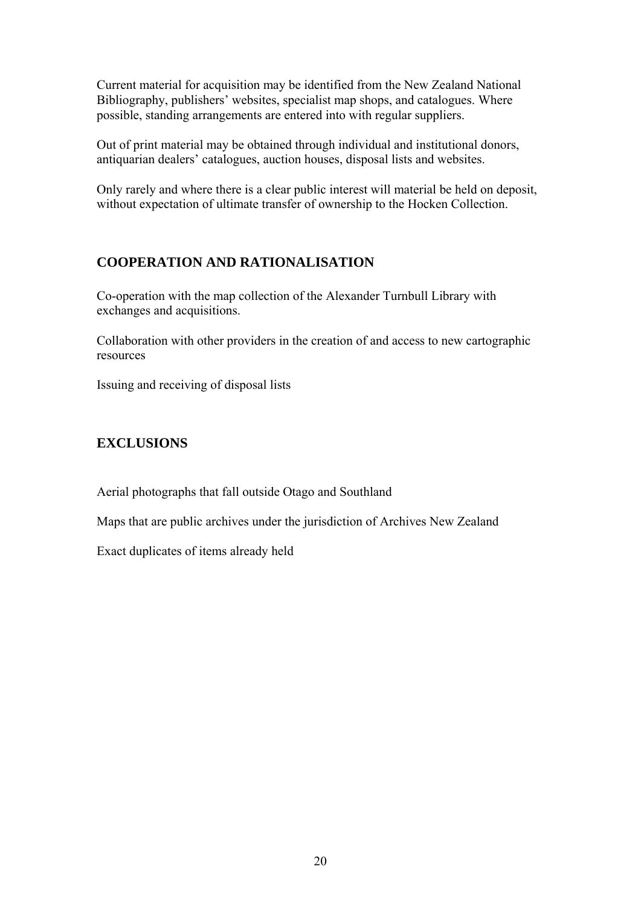<span id="page-19-0"></span>Current material for acquisition may be identified from the New Zealand National Bibliography, publishers' websites, specialist map shops, and catalogues. Where possible, standing arrangements are entered into with regular suppliers.

Out of print material may be obtained through individual and institutional donors, antiquarian dealers' catalogues, auction houses, disposal lists and websites.

Only rarely and where there is a clear public interest will material be held on deposit, without expectation of ultimate transfer of ownership to the Hocken Collection.

## **COOPERATION AND RATIONALISATION**

Co-operation with the map collection of the Alexander Turnbull Library with exchanges and acquisitions.

Collaboration with other providers in the creation of and access to new cartographic resources

Issuing and receiving of disposal lists

## **EXCLUSIONS**

Aerial photographs that fall outside Otago and Southland

Maps that are public archives under the jurisdiction of Archives New Zealand

Exact duplicates of items already held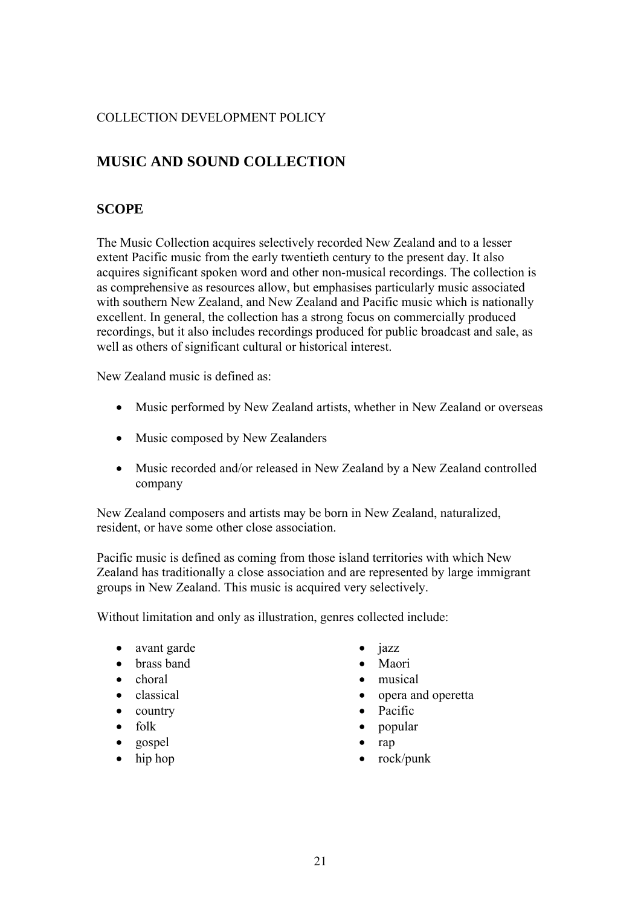# <span id="page-20-0"></span>**MUSIC AND SOUND COLLECTION**

## **SCOPE**

The Music Collection acquires selectively recorded New Zealand and to a lesser extent Pacific music from the early twentieth century to the present day. It also acquires significant spoken word and other non-musical recordings. The collection is as comprehensive as resources allow, but emphasises particularly music associated with southern New Zealand, and New Zealand and Pacific music which is nationally excellent. In general, the collection has a strong focus on commercially produced recordings, but it also includes recordings produced for public broadcast and sale, as well as others of significant cultural or historical interest.

New Zealand music is defined as:

- Music performed by New Zealand artists, whether in New Zealand or overseas
- Music composed by New Zealanders
- Music recorded and/or released in New Zealand by a New Zealand controlled company

New Zealand composers and artists may be born in New Zealand, naturalized, resident, or have some other close association.

Pacific music is defined as coming from those island territories with which New Zealand has traditionally a close association and are represented by large immigrant groups in New Zealand. This music is acquired very selectively.

Without limitation and only as illustration, genres collected include:

- avant garde
- brass band
- choral
- classical
- country
- folk
- gospel
- hip hop
- jazz
- Maori
- musical
- opera and operetta
- Pacific
- popular
- rap
- rock/punk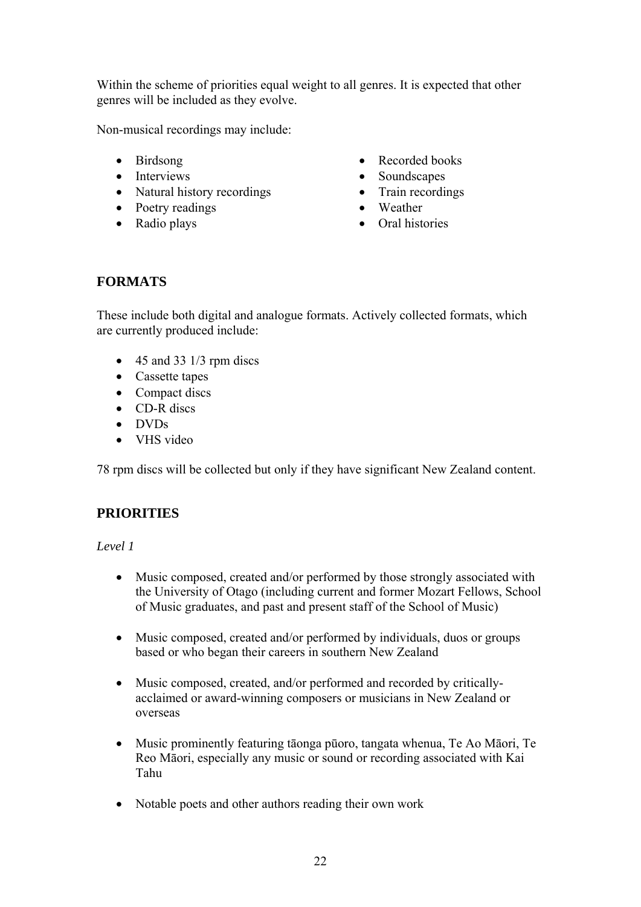<span id="page-21-0"></span>Within the scheme of priorities equal weight to all genres. It is expected that other genres will be included as they evolve.

Non-musical recordings may include:

- Birdsong
- Interviews
- Natural history recordings
- Poetry readings
- Radio plays
- Recorded books
- Soundscapes
- Train recordings
- Weather
- Oral histories

# **FORMATS**

These include both digital and analogue formats. Actively collected formats, which are currently produced include:

- $\bullet$  45 and 33 1/3 rpm discs
- Cassette tapes
- Compact discs
- CD-R discs
- DVDs
- VHS video

78 rpm discs will be collected but only if they have significant New Zealand content.

# **PRIORITIES**

#### *Level 1*

- Music composed, created and/or performed by those strongly associated with the University of Otago (including current and former Mozart Fellows, School of Music graduates, and past and present staff of the School of Music)
- Music composed, created and/or performed by individuals, duos or groups based or who began their careers in southern New Zealand
- Music composed, created, and/or performed and recorded by criticallyacclaimed or award-winning composers or musicians in New Zealand or overseas
- Music prominently featuring tāonga pūoro, tangata whenua, Te Ao Māori, Te Reo Māori, especially any music or sound or recording associated with Kai Tahu
- Notable poets and other authors reading their own work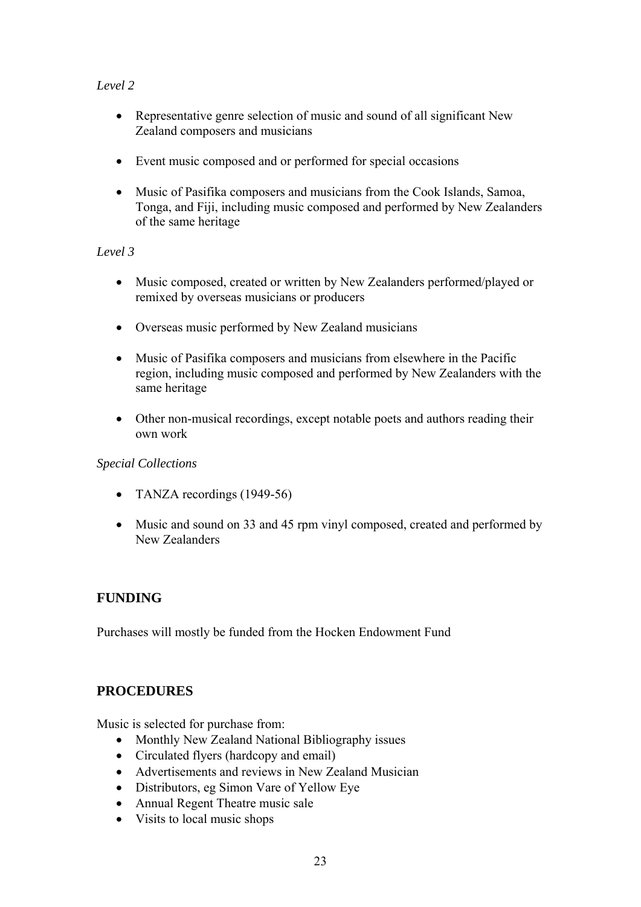### <span id="page-22-0"></span>*Level 2*

- Representative genre selection of music and sound of all significant New Zealand composers and musicians
- Event music composed and or performed for special occasions
- Music of Pasifika composers and musicians from the Cook Islands, Samoa, Tonga, and Fiji, including music composed and performed by New Zealanders of the same heritage

#### *Level 3*

- Music composed, created or written by New Zealanders performed/played or remixed by overseas musicians or producers
- Overseas music performed by New Zealand musicians
- Music of Pasifika composers and musicians from elsewhere in the Pacific region, including music composed and performed by New Zealanders with the same heritage
- Other non-musical recordings, except notable poets and authors reading their own work

#### *Special Collections*

- TANZA recordings (1949-56)
- Music and sound on 33 and 45 rpm vinyl composed, created and performed by New Zealanders

## **FUNDING**

Purchases will mostly be funded from the Hocken Endowment Fund

## **PROCEDURES**

Music is selected for purchase from:

- Monthly New Zealand National Bibliography issues
- Circulated flyers (hardcopy and email)
- Advertisements and reviews in New Zealand Musician
- Distributors, eg Simon Vare of Yellow Eye
- Annual Regent Theatre music sale
- Visits to local music shops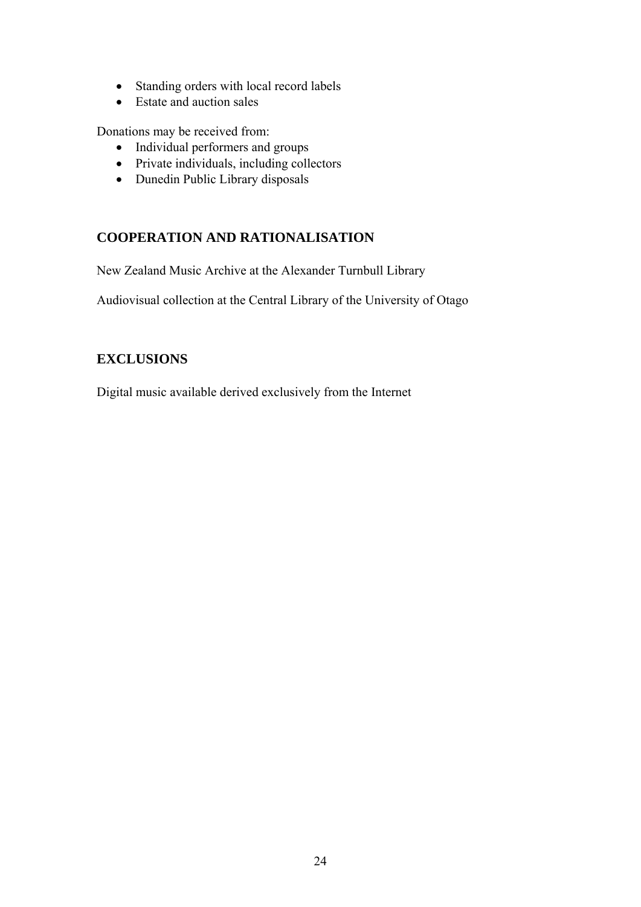- <span id="page-23-0"></span>• Standing orders with local record labels
- Estate and auction sales

Donations may be received from:

- Individual performers and groups
- Private individuals, including collectors
- Dunedin Public Library disposals

## **COOPERATION AND RATIONALISATION**

New Zealand Music Archive at the Alexander Turnbull Library

Audiovisual collection at the Central Library of the University of Otago

## **EXCLUSIONS**

Digital music available derived exclusively from the Internet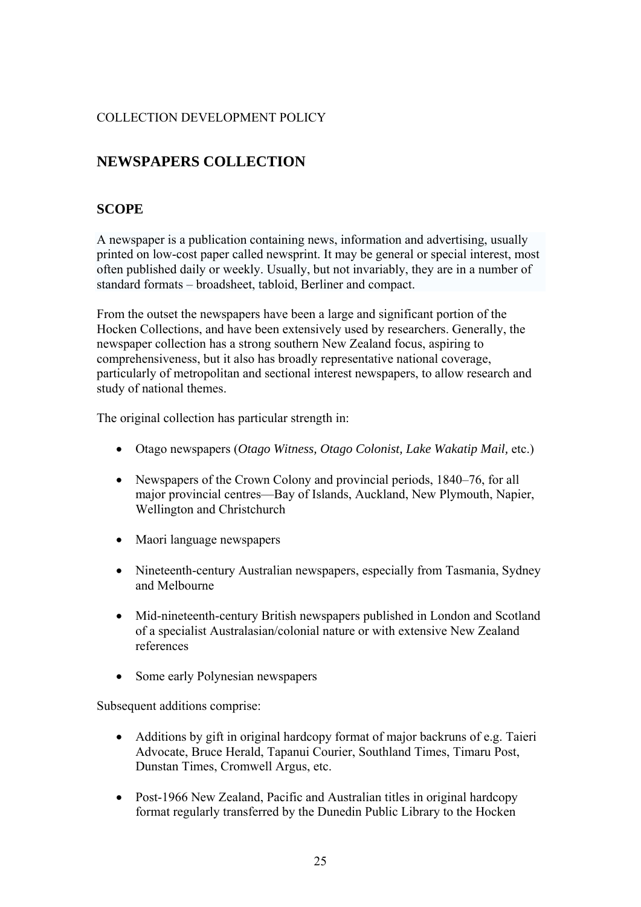# <span id="page-24-0"></span>**NEWSPAPERS COLLECTION**

## **SCOPE**

A newspaper is a [publication](http://en.wikipedia.org/wiki/Publication) containing [news,](http://en.wikipedia.org/wiki/News) information and [advertising,](http://en.wikipedia.org/wiki/Advertising) usually printed on low-cost paper called [newsprint.](http://en.wikipedia.org/wiki/Newsprint) It may be general or special interest, most often published daily or weekly. Usually, but not invariably, they are in a number of standard formats – broadsheet, tabloid, Berliner and compact.

From the outset the newspapers have been a large and significant portion of the Hocken Collections, and have been extensively used by researchers. Generally, the newspaper collection has a strong southern New Zealand focus, aspiring to comprehensiveness, but it also has broadly representative national coverage, particularly of metropolitan and sectional interest newspapers, to allow research and study of national themes.

The original collection has particular strength in:

- Otago newspapers (*Otago Witness, Otago Colonist, Lake Wakatip Mail,* etc.)
- Newspapers of the Crown Colony and provincial periods, 1840–76, for all major provincial centres—Bay of Islands, Auckland, New Plymouth, Napier, Wellington and Christchurch
- Maori language newspapers
- Nineteenth-century Australian newspapers, especially from Tasmania, Sydney and Melbourne
- Mid-nineteenth-century British newspapers published in London and Scotland of a specialist Australasian/colonial nature or with extensive New Zealand references
- Some early Polynesian newspapers

Subsequent additions comprise:

- Additions by gift in original hardcopy format of major backruns of e.g. Taieri Advocate, Bruce Herald, Tapanui Courier, Southland Times, Timaru Post, Dunstan Times, Cromwell Argus, etc.
- Post-1966 New Zealand, Pacific and Australian titles in original hardcopy format regularly transferred by the Dunedin Public Library to the Hocken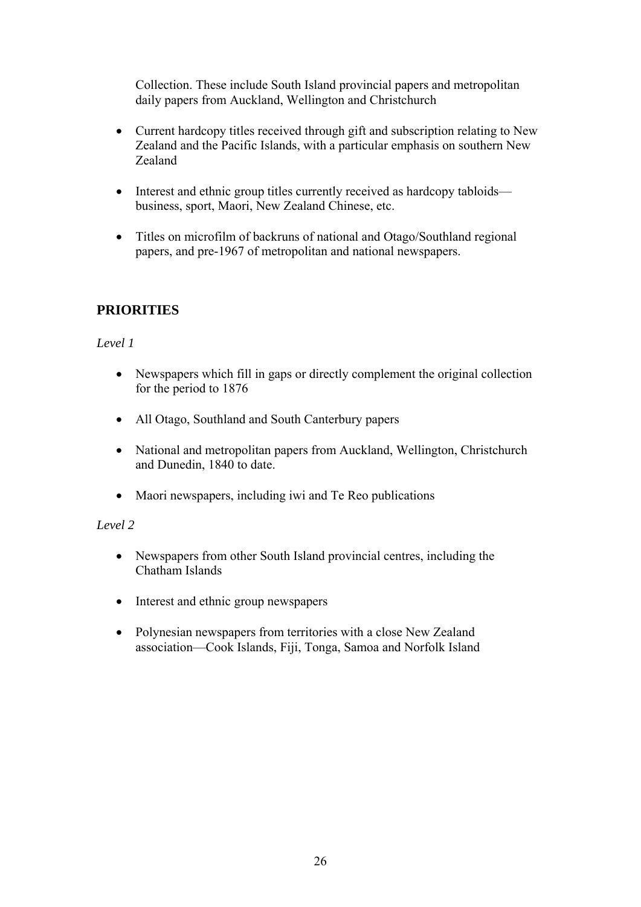<span id="page-25-0"></span>Collection. These include South Island provincial papers and metropolitan daily papers from Auckland, Wellington and Christchurch

- Current hardcopy titles received through gift and subscription relating to New Zealand and the Pacific Islands, with a particular emphasis on southern New Zealand
- Interest and ethnic group titles currently received as hardcopy tabloids business, sport, Maori, New Zealand Chinese, etc.
- Titles on microfilm of backruns of national and Otago/Southland regional papers, and pre-1967 of metropolitan and national newspapers.

# **PRIORITIES**

#### *Level 1*

- Newspapers which fill in gaps or directly complement the original collection for the period to 1876
- All Otago, Southland and South Canterbury papers
- National and metropolitan papers from Auckland, Wellington, Christchurch and Dunedin, 1840 to date.
- Maori newspapers, including iwi and Te Reo publications

#### *Level 2*

- Newspapers from other South Island provincial centres, including the Chatham Islands
- Interest and ethnic group newspapers
- Polynesian newspapers from territories with a close New Zealand association—Cook Islands, Fiji, Tonga, Samoa and Norfolk Island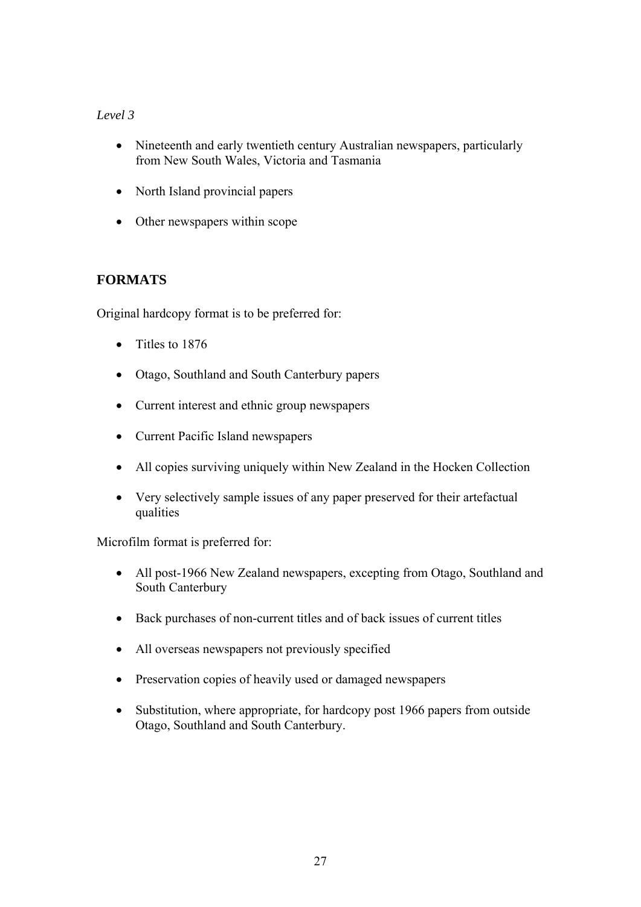## <span id="page-26-0"></span>*Level 3*

- Nineteenth and early twentieth century Australian newspapers, particularly from New South Wales, Victoria and Tasmania
- North Island provincial papers
- Other newspapers within scope

# **FORMATS**

Original hardcopy format is to be preferred for:

- Titles to 1876
- Otago, Southland and South Canterbury papers
- Current interest and ethnic group newspapers
- Current Pacific Island newspapers
- All copies surviving uniquely within New Zealand in the Hocken Collection
- Very selectively sample issues of any paper preserved for their artefactual qualities

Microfilm format is preferred for:

- All post-1966 New Zealand newspapers, excepting from Otago, Southland and South Canterbury
- Back purchases of non-current titles and of back issues of current titles
- All overseas newspapers not previously specified
- Preservation copies of heavily used or damaged newspapers
- Substitution, where appropriate, for hardcopy post 1966 papers from outside Otago, Southland and South Canterbury.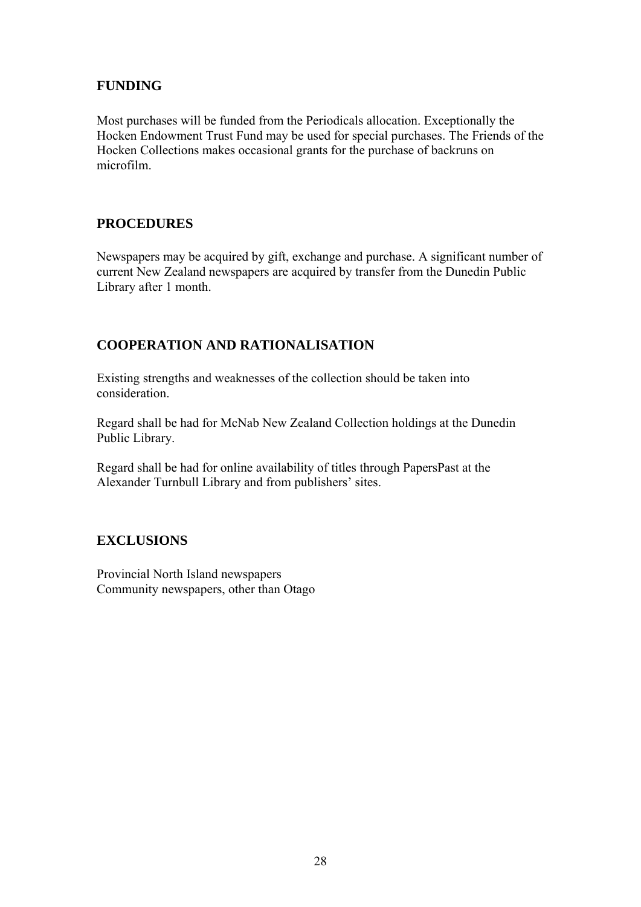## <span id="page-27-0"></span>**FUNDING**

Most purchases will be funded from the Periodicals allocation. Exceptionally the Hocken Endowment Trust Fund may be used for special purchases. The Friends of the Hocken Collections makes occasional grants for the purchase of backruns on microfilm.

## **PROCEDURES**

Newspapers may be acquired by gift, exchange and purchase. A significant number of current New Zealand newspapers are acquired by transfer from the Dunedin Public Library after 1 month.

## **COOPERATION AND RATIONALISATION**

Existing strengths and weaknesses of the collection should be taken into consideration.

Regard shall be had for McNab New Zealand Collection holdings at the Dunedin Public Library.

Regard shall be had for online availability of titles through PapersPast at the Alexander Turnbull Library and from publishers' sites.

## **EXCLUSIONS**

Provincial North Island newspapers Community newspapers, other than Otago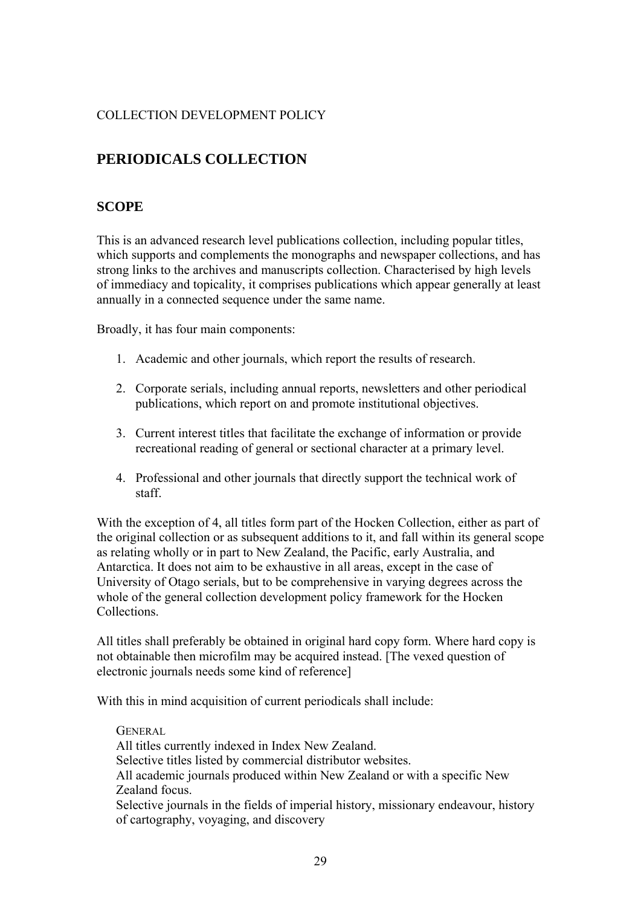# <span id="page-28-0"></span>**PERIODICALS COLLECTION**

## **SCOPE**

This is an advanced research level publications collection, including popular titles, which supports and complements the monographs and newspaper collections, and has strong links to the archives and manuscripts collection. Characterised by high levels of immediacy and topicality, it comprises publications which appear generally at least annually in a connected sequence under the same name.

Broadly, it has four main components:

- 1. Academic and other journals, which report the results of research.
- 2. Corporate serials, including annual reports, newsletters and other periodical publications, which report on and promote institutional objectives.
- 3. Current interest titles that facilitate the exchange of information or provide recreational reading of general or sectional character at a primary level.
- 4. Professional and other journals that directly support the technical work of staff.

With the exception of 4, all titles form part of the Hocken Collection, either as part of the original collection or as subsequent additions to it, and fall within its general scope as relating wholly or in part to New Zealand, the Pacific, early Australia, and Antarctica. It does not aim to be exhaustive in all areas, except in the case of University of Otago serials, but to be comprehensive in varying degrees across the whole of the general collection development policy framework for the Hocken Collections.

All titles shall preferably be obtained in original hard copy form. Where hard copy is not obtainable then microfilm may be acquired instead. [The vexed question of electronic journals needs some kind of reference]

With this in mind acquisition of current periodicals shall include:

**GENERAL** All titles currently indexed in Index New Zealand. Selective titles listed by commercial distributor websites. All academic journals produced within New Zealand or with a specific New Zealand focus. Selective journals in the fields of imperial history, missionary endeavour, history of cartography, voyaging, and discovery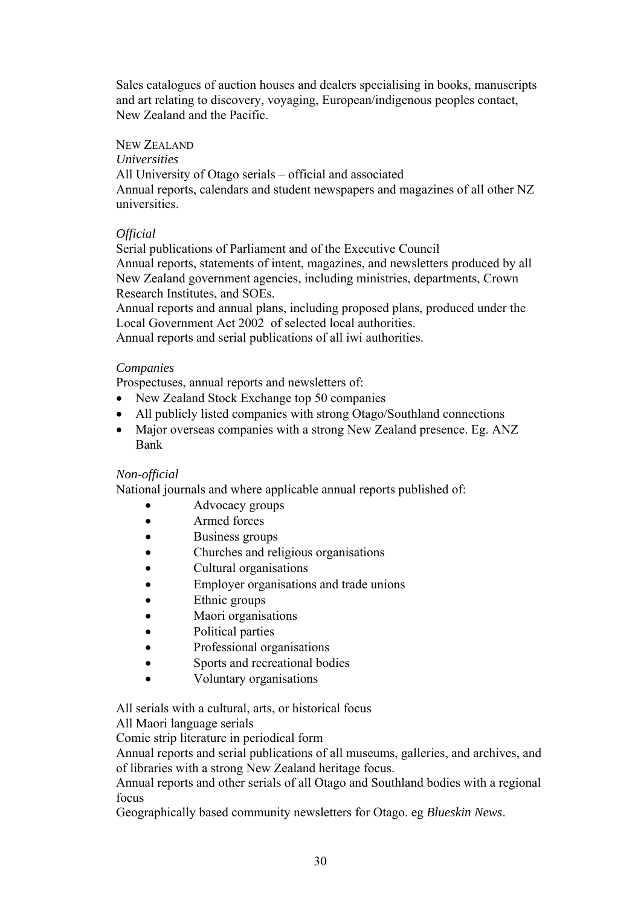Sales catalogues of auction houses and dealers specialising in books, manuscripts and art relating to discovery, voyaging, European/indigenous peoples contact, New Zealand and the Pacific.

### NEW ZEALAND

*Universities* 

All University of Otago serials – official and associated Annual reports, calendars and student newspapers and magazines of all other NZ universities.

### *Official*

Serial publications of Parliament and of the Executive Council Annual reports, statements of intent, magazines, and newsletters produced by all New Zealand government agencies, including ministries, departments, Crown Research Institutes, and SOEs.

Annual reports and annual plans, including proposed plans, produced under the Local Government Act 2002 of selected local authorities.

Annual reports and serial publications of all iwi authorities.

#### *Companies*

Prospectuses, annual reports and newsletters of:

- New Zealand Stock Exchange top 50 companies
- All publicly listed companies with strong Otago/Southland connections
- Major overseas companies with a strong New Zealand presence. Eg. ANZ Bank

#### *Non-official*

National journals and where applicable annual reports published of:

- **Advocacy groups**
- Armed forces
- Business groups
- Churches and religious organisations
- Cultural organisations
- Employer organisations and trade unions
- Ethnic groups
- Maori organisations
- Political parties
- Professional organisations
- Sports and recreational bodies
- Voluntary organisations

All serials with a cultural, arts, or historical focus

All Maori language serials

Comic strip literature in periodical form

Annual reports and serial publications of all museums, galleries, and archives, and of libraries with a strong New Zealand heritage focus.

Annual reports and other serials of all Otago and Southland bodies with a regional focus

Geographically based community newsletters for Otago. eg *Blueskin News*.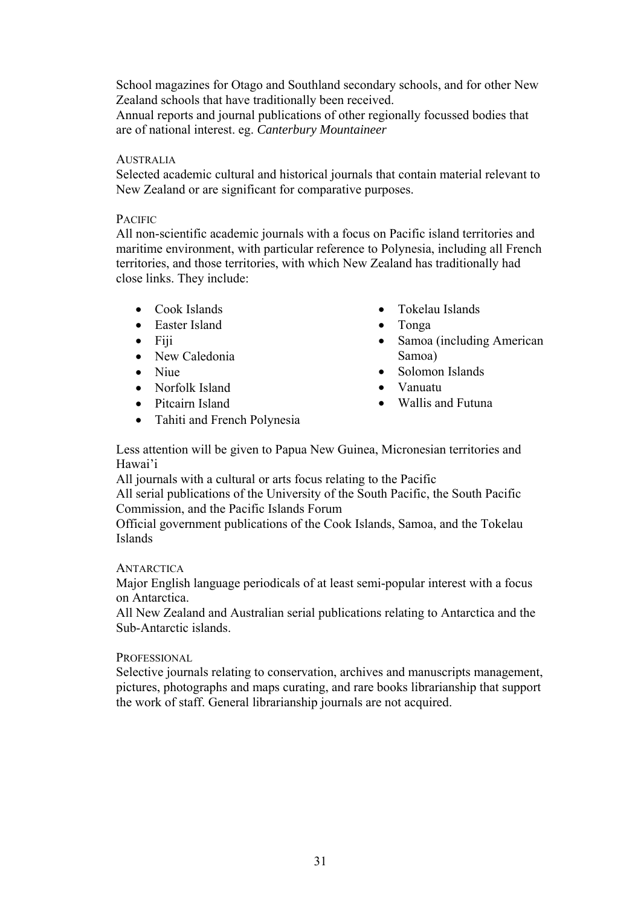School magazines for Otago and Southland secondary schools, and for other New Zealand schools that have traditionally been received.

Annual reports and journal publications of other regionally focussed bodies that are of national interest. eg. *Canterbury Mountaineer* 

#### **AUSTRALIA**

Selected academic cultural and historical journals that contain material relevant to New Zealand or are significant for comparative purposes.

#### PACIFIC

All non-scientific academic journals with a focus on Pacific island territories and maritime environment, with particular reference to Polynesia, including all French territories, and those territories, with which New Zealand has traditionally had close links. They include:

- Cook Islands
- Easter Island
- $\bullet$  Fiji
- New Caledonia
- Niue
- Norfolk Island
- Pitcairn Island
- Tahiti and French Polynesia
- Tokelau Islands
- Tonga
- Samoa (including American Samoa)
- Solomon Islands
- Vanuatu
- Wallis and Futuna

Less attention will be given to Papua New Guinea, Micronesian territories and Hawai'i

All journals with a cultural or arts focus relating to the Pacific

All serial publications of the University of the South Pacific, the South Pacific Commission, and the Pacific Islands Forum

Official government publications of the Cook Islands, Samoa, and the Tokelau Islands

#### **ANTARCTICA**

Major English language periodicals of at least semi-popular interest with a focus on Antarctica.

All New Zealand and Australian serial publications relating to Antarctica and the Sub-Antarctic islands.

#### PROFESSIONAL

Selective journals relating to conservation, archives and manuscripts management, pictures, photographs and maps curating, and rare books librarianship that support the work of staff. General librarianship journals are not acquired.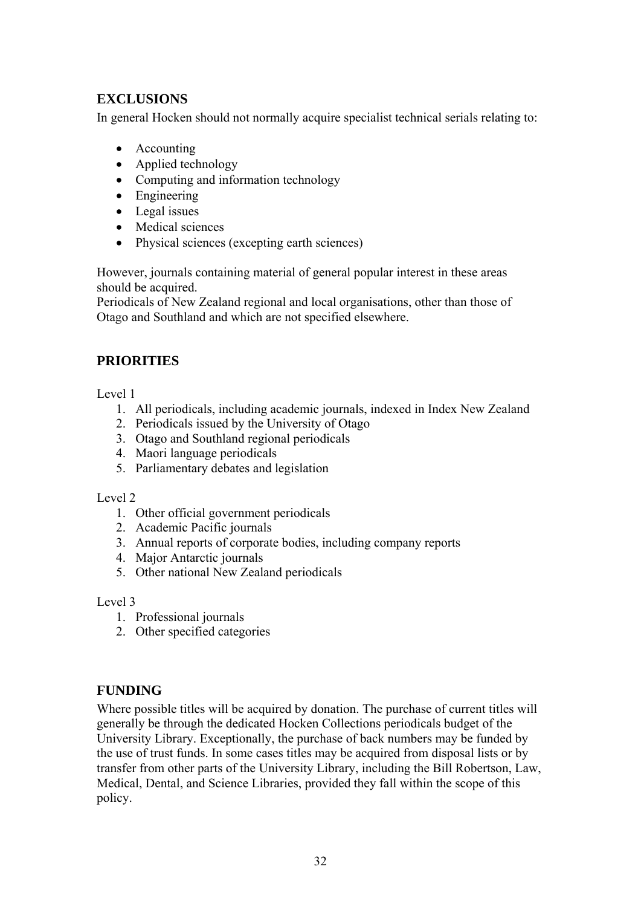# <span id="page-31-0"></span>**EXCLUSIONS**

In general Hocken should not normally acquire specialist technical serials relating to:

- Accounting
- Applied technology
- Computing and information technology
- Engineering
- Legal issues
- Medical sciences
- Physical sciences (excepting earth sciences)

However, journals containing material of general popular interest in these areas should be acquired.

Periodicals of New Zealand regional and local organisations, other than those of Otago and Southland and which are not specified elsewhere.

# **PRIORITIES**

Level 1

- 1. All periodicals, including academic journals, indexed in Index New Zealand
- 2. Periodicals issued by the University of Otago
- 3. Otago and Southland regional periodicals
- 4. Maori language periodicals
- 5. Parliamentary debates and legislation

#### Level 2

- 1. Other official government periodicals
- 2. Academic Pacific journals
- 3. Annual reports of corporate bodies, including company reports
- 4. Major Antarctic journals
- 5. Other national New Zealand periodicals

Level 3

- 1. Professional journals
- 2. Other specified categories

## **FUNDING**

Where possible titles will be acquired by donation. The purchase of current titles will generally be through the dedicated Hocken Collections periodicals budget of the University Library. Exceptionally, the purchase of back numbers may be funded by the use of trust funds. In some cases titles may be acquired from disposal lists or by transfer from other parts of the University Library, including the Bill Robertson, Law, Medical, Dental, and Science Libraries, provided they fall within the scope of this policy.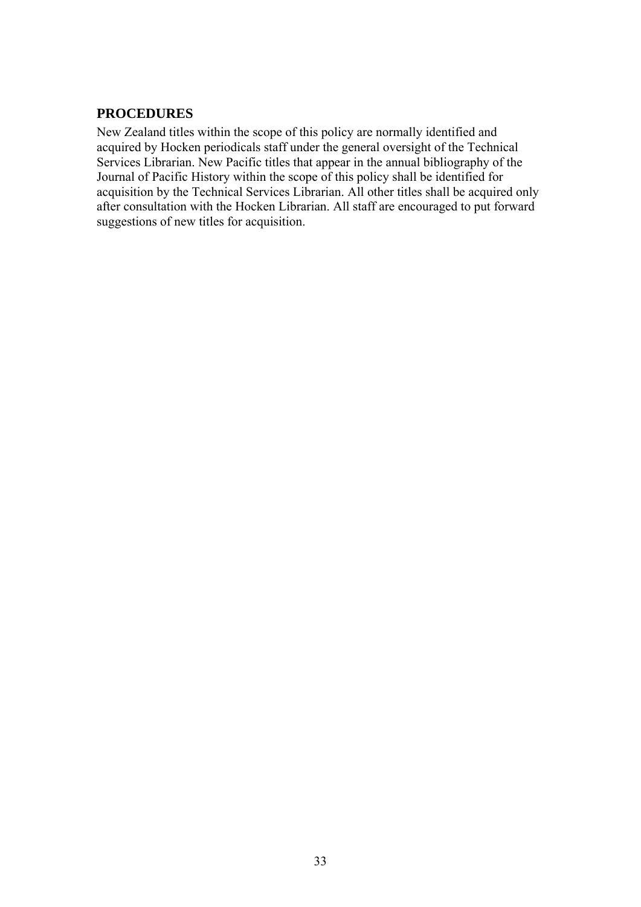## <span id="page-32-0"></span>**PROCEDURES**

New Zealand titles within the scope of this policy are normally identified and acquired by Hocken periodicals staff under the general oversight of the Technical Services Librarian. New Pacific titles that appear in the annual bibliography of the Journal of Pacific History within the scope of this policy shall be identified for acquisition by the Technical Services Librarian. All other titles shall be acquired only after consultation with the Hocken Librarian. All staff are encouraged to put forward suggestions of new titles for acquisition.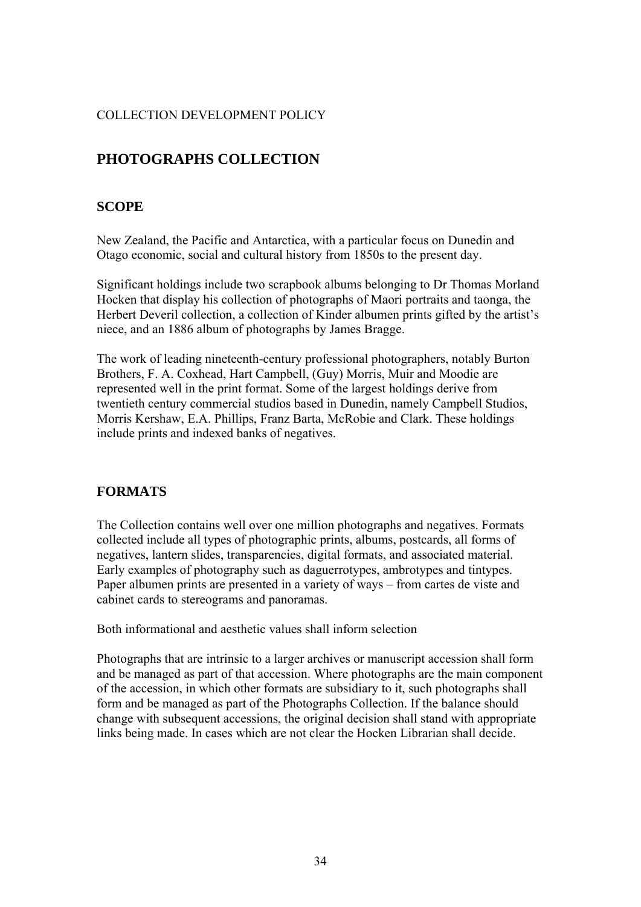# <span id="page-33-0"></span>**PHOTOGRAPHS COLLECTION**

## **SCOPE**

New Zealand, the Pacific and Antarctica, with a particular focus on Dunedin and Otago economic, social and cultural history from 1850s to the present day.

Significant holdings include two scrapbook albums belonging to Dr Thomas Morland Hocken that display his collection of photographs of Maori portraits and taonga, the Herbert Deveril collection, a collection of Kinder albumen prints gifted by the artist's niece, and an 1886 album of photographs by James Bragge.

The work of leading nineteenth-century professional photographers, notably Burton Brothers, F. A. Coxhead, Hart Campbell, (Guy) Morris, Muir and Moodie are represented well in the print format. Some of the largest holdings derive from twentieth century commercial studios based in Dunedin, namely Campbell Studios, Morris Kershaw, E.A. Phillips, Franz Barta, McRobie and Clark. These holdings include prints and indexed banks of negatives.

## **FORMATS**

The Collection contains well over one million photographs and negatives. Formats collected include all types of photographic prints, albums, postcards, all forms of negatives, lantern slides, transparencies, digital formats, and associated material. Early examples of photography such as daguerrotypes, ambrotypes and tintypes. Paper albumen prints are presented in a variety of ways – from cartes de viste and cabinet cards to stereograms and panoramas.

Both informational and aesthetic values shall inform selection

Photographs that are intrinsic to a larger archives or manuscript accession shall form and be managed as part of that accession. Where photographs are the main component of the accession, in which other formats are subsidiary to it, such photographs shall form and be managed as part of the Photographs Collection. If the balance should change with subsequent accessions, the original decision shall stand with appropriate links being made. In cases which are not clear the Hocken Librarian shall decide.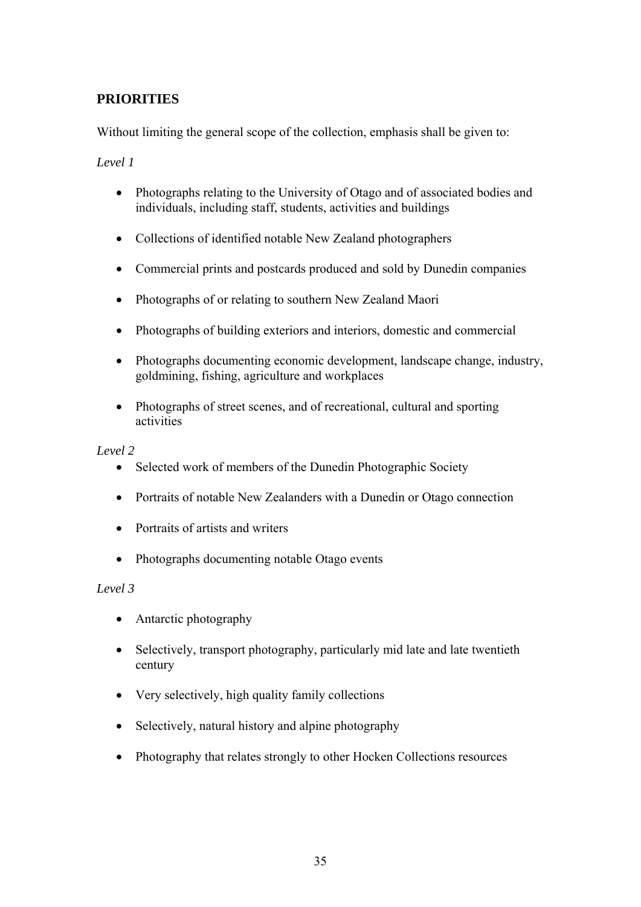# <span id="page-34-0"></span>**PRIORITIES**

Without limiting the general scope of the collection, emphasis shall be given to:

*Level 1* 

- Photographs relating to the University of Otago and of associated bodies and individuals, including staff, students, activities and buildings
- Collections of identified notable New Zealand photographers
- Commercial prints and postcards produced and sold by Dunedin companies
- Photographs of or relating to southern New Zealand Maori
- Photographs of building exteriors and interiors, domestic and commercial
- Photographs documenting economic development, landscape change, industry, goldmining, fishing, agriculture and workplaces
- Photographs of street scenes, and of recreational, cultural and sporting activities

*Level 2* 

- Selected work of members of the Dunedin Photographic Society
- Portraits of notable New Zealanders with a Dunedin or Otago connection
- Portraits of artists and writers
- Photographs documenting notable Otago events

#### *Level 3*

- Antarctic photography
- Selectively, transport photography, particularly mid late and late twentieth century
- Very selectively, high quality family collections
- Selectively, natural history and alpine photography
- Photography that relates strongly to other Hocken Collections resources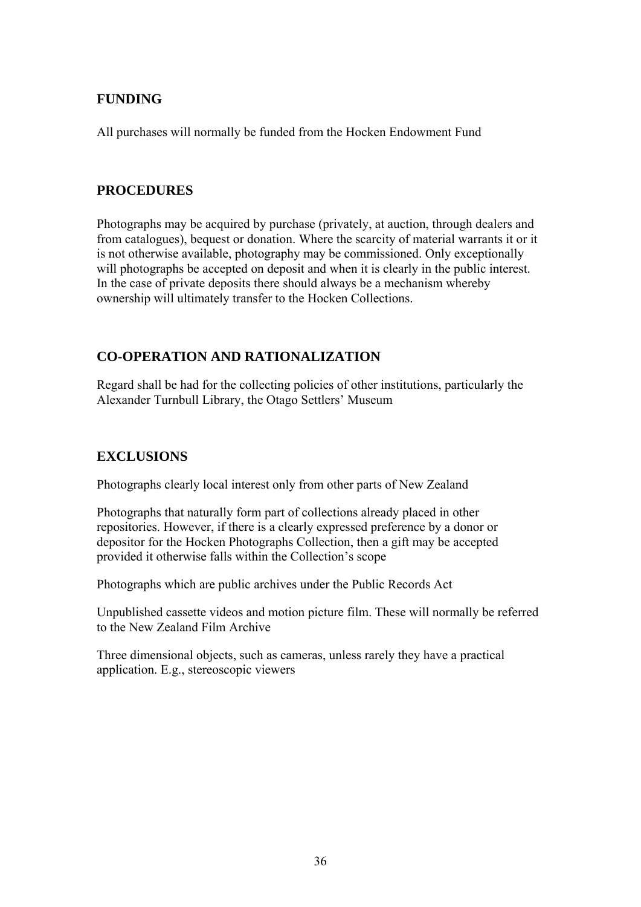## <span id="page-35-0"></span>**FUNDING**

All purchases will normally be funded from the Hocken Endowment Fund

## **PROCEDURES**

Photographs may be acquired by purchase (privately, at auction, through dealers and from catalogues), bequest or donation. Where the scarcity of material warrants it or it is not otherwise available, photography may be commissioned. Only exceptionally will photographs be accepted on deposit and when it is clearly in the public interest. In the case of private deposits there should always be a mechanism whereby ownership will ultimately transfer to the Hocken Collections.

# **CO-OPERATION AND RATIONALIZATION**

Regard shall be had for the collecting policies of other institutions, particularly the Alexander Turnbull Library, the Otago Settlers' Museum

# **EXCLUSIONS**

Photographs clearly local interest only from other parts of New Zealand

Photographs that naturally form part of collections already placed in other repositories. However, if there is a clearly expressed preference by a donor or depositor for the Hocken Photographs Collection, then a gift may be accepted provided it otherwise falls within the Collection's scope

Photographs which are public archives under the Public Records Act

Unpublished cassette videos and motion picture film. These will normally be referred to the New Zealand Film Archive

Three dimensional objects, such as cameras, unless rarely they have a practical application. E.g., stereoscopic viewers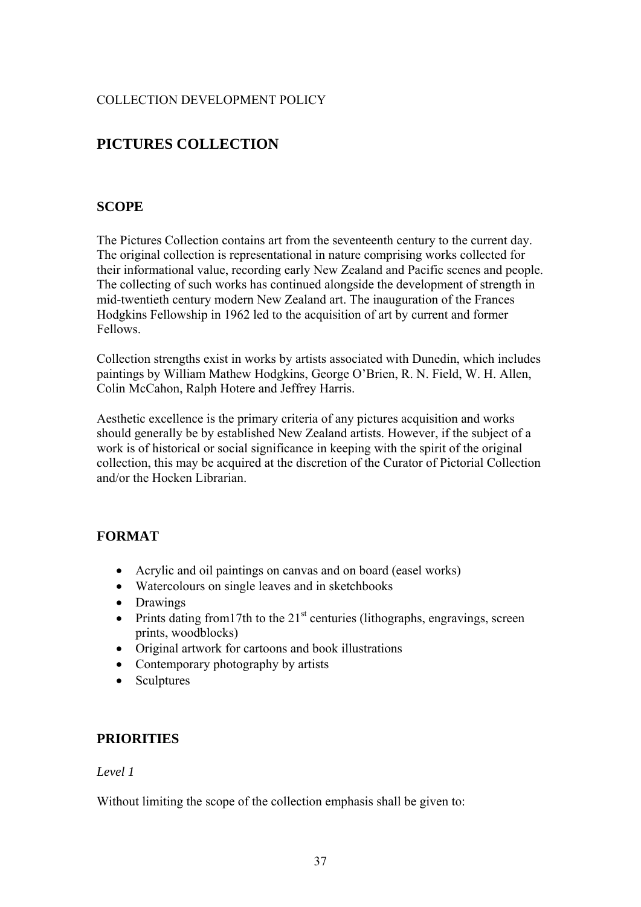# <span id="page-36-0"></span>**PICTURES COLLECTION**

### **SCOPE**

The Pictures Collection contains art from the seventeenth century to the current day. The original collection is representational in nature comprising works collected for their informational value, recording early New Zealand and Pacific scenes and people. The collecting of such works has continued alongside the development of strength in mid-twentieth century modern New Zealand art. The inauguration of the Frances Hodgkins Fellowship in 1962 led to the acquisition of art by current and former Fellows.

Collection strengths exist in works by artists associated with Dunedin, which includes paintings by William Mathew Hodgkins, George O'Brien, R. N. Field, W. H. Allen, Colin McCahon, Ralph Hotere and Jeffrey Harris.

Aesthetic excellence is the primary criteria of any pictures acquisition and works should generally be by established New Zealand artists. However, if the subject of a work is of historical or social significance in keeping with the spirit of the original collection, this may be acquired at the discretion of the Curator of Pictorial Collection and/or the Hocken Librarian.

## **FORMAT**

- Acrylic and oil paintings on canvas and on board (easel works)
- Watercolours on single leaves and in sketchbooks
- Drawings
- Prints dating from 17th to the  $21<sup>st</sup>$  centuries (lithographs, engravings, screen prints, woodblocks)
- Original artwork for cartoons and book illustrations
- Contemporary photography by artists
- Sculptures

#### **PRIORITIES**

#### *Level 1*

Without limiting the scope of the collection emphasis shall be given to: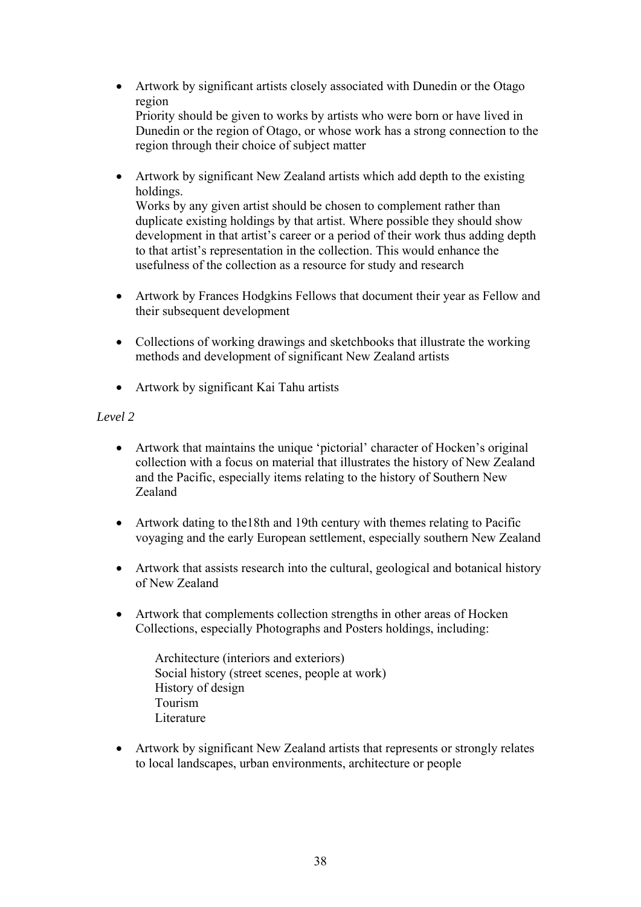- Artwork by significant artists closely associated with Dunedin or the Otago region Priority should be given to works by artists who were born or have lived in
	- Dunedin or the region of Otago, or whose work has a strong connection to the region through their choice of subject matter
- Artwork by significant New Zealand artists which add depth to the existing holdings.

Works by any given artist should be chosen to complement rather than duplicate existing holdings by that artist. Where possible they should show development in that artist's career or a period of their work thus adding depth to that artist's representation in the collection. This would enhance the usefulness of the collection as a resource for study and research

- Artwork by Frances Hodgkins Fellows that document their year as Fellow and their subsequent development
- Collections of working drawings and sketchbooks that illustrate the working methods and development of significant New Zealand artists
- Artwork by significant Kai Tahu artists

## *Level 2*

- Artwork that maintains the unique 'pictorial' character of Hocken's original collection with a focus on material that illustrates the history of New Zealand and the Pacific, especially items relating to the history of Southern New Zealand
- Artwork dating to the 18th and 19th century with themes relating to Pacific voyaging and the early European settlement, especially southern New Zealand
- Artwork that assists research into the cultural, geological and botanical history of New Zealand
- Artwork that complements collection strengths in other areas of Hocken Collections, especially Photographs and Posters holdings, including:

Architecture (interiors and exteriors) Social history (street scenes, people at work) History of design Tourism Literature

• Artwork by significant New Zealand artists that represents or strongly relates to local landscapes, urban environments, architecture or people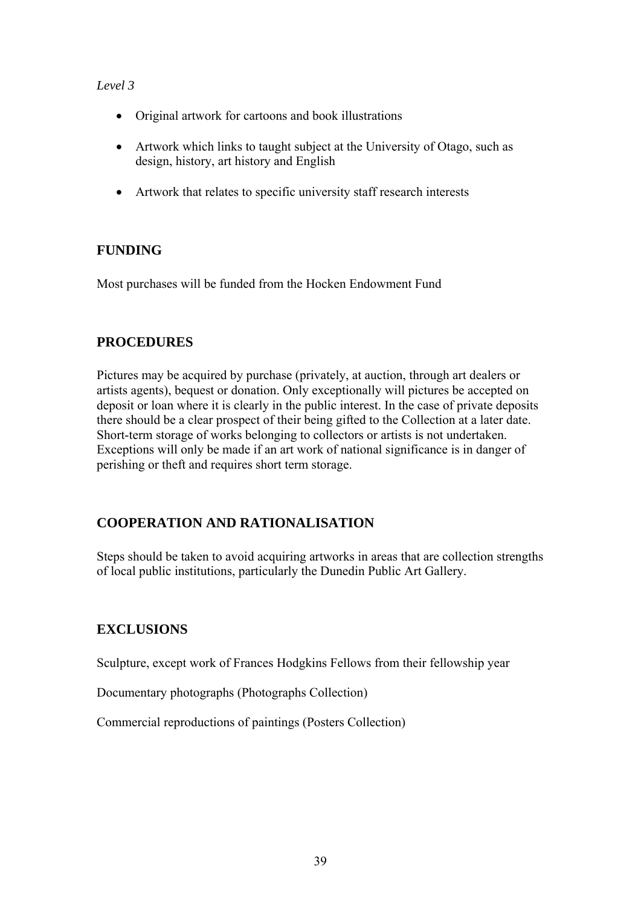### <span id="page-38-0"></span>*Level 3*

- Original artwork for cartoons and book illustrations
- Artwork which links to taught subject at the University of Otago, such as design, history, art history and English
- Artwork that relates to specific university staff research interests

### **FUNDING**

Most purchases will be funded from the Hocken Endowment Fund

## **PROCEDURES**

Pictures may be acquired by purchase (privately, at auction, through art dealers or artists agents), bequest or donation. Only exceptionally will pictures be accepted on deposit or loan where it is clearly in the public interest. In the case of private deposits there should be a clear prospect of their being gifted to the Collection at a later date. Short-term storage of works belonging to collectors or artists is not undertaken. Exceptions will only be made if an art work of national significance is in danger of perishing or theft and requires short term storage.

# **COOPERATION AND RATIONALISATION**

Steps should be taken to avoid acquiring artworks in areas that are collection strengths of local public institutions, particularly the Dunedin Public Art Gallery.

## **EXCLUSIONS**

Sculpture, except work of Frances Hodgkins Fellows from their fellowship year

Documentary photographs (Photographs Collection)

Commercial reproductions of paintings (Posters Collection)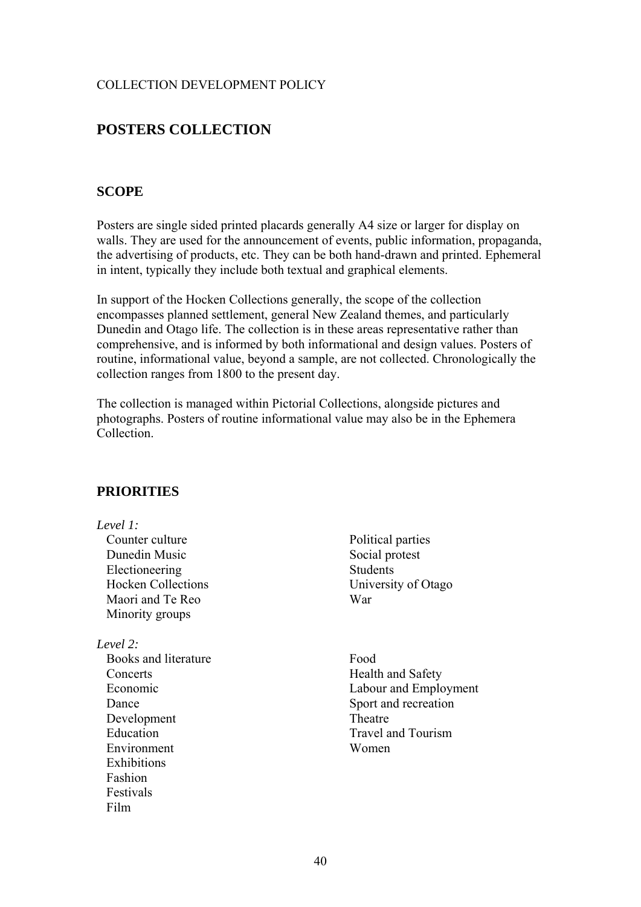# <span id="page-39-0"></span>**POSTERS COLLECTION**

#### **SCOPE**

Posters are single sided printed placards generally A4 size or larger for display on walls. They are used for the announcement of events, public information, propaganda, the advertising of products, etc. They can be both hand-drawn and printed. Ephemeral in intent, typically they include both textual and graphical elements.

In support of the Hocken Collections generally, the scope of the collection encompasses planned settlement, general New Zealand themes, and particularly Dunedin and Otago life. The collection is in these areas representative rather than comprehensive, and is informed by both informational and design values. Posters of routine, informational value, beyond a sample, are not collected. Chronologically the collection ranges from 1800 to the present day.

The collection is managed within Pictorial Collections, alongside pictures and photographs. Posters of routine informational value may also be in the Ephemera Collection.

#### **PRIORITIES**

#### *Level 1:*

Counter culture Dunedin Music Electioneering Hocken Collections Maori and Te Reo Minority groups

*Level 2:* 

Books and literature **Concerts** Economic Dance Development Education Environment Exhibitions Fashion Festivals Film

- Political parties Social protest Students University of Otago War
- Food Health and Safety Labour and Employment Sport and recreation Theatre Travel and Tourism Women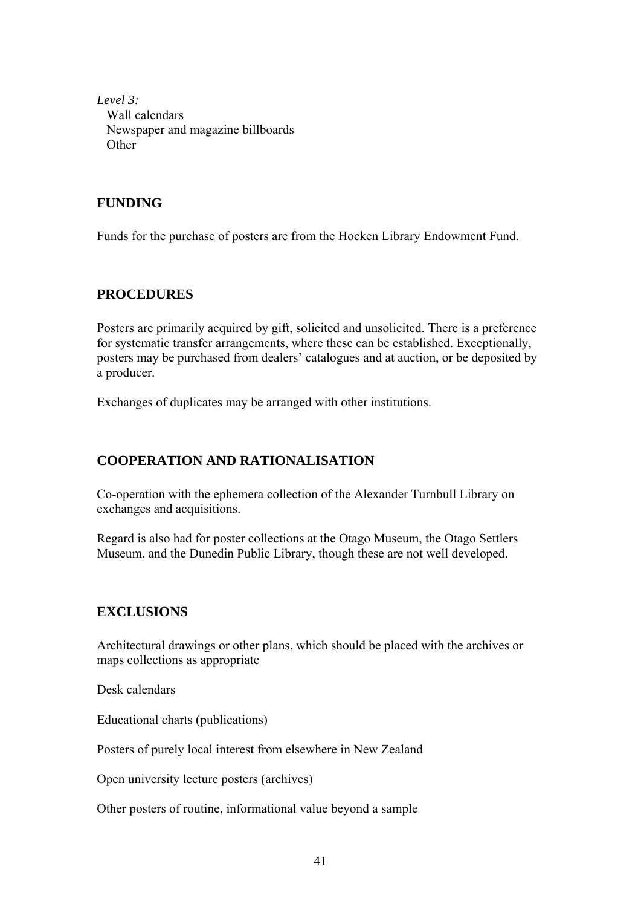<span id="page-40-0"></span>*Level 3:*  Wall calendars Newspaper and magazine billboards **Other** 

## **FUNDING**

Funds for the purchase of posters are from the Hocken Library Endowment Fund.

### **PROCEDURES**

Posters are primarily acquired by gift, solicited and unsolicited. There is a preference for systematic transfer arrangements, where these can be established. Exceptionally, posters may be purchased from dealers' catalogues and at auction, or be deposited by a producer.

Exchanges of duplicates may be arranged with other institutions.

## **COOPERATION AND RATIONALISATION**

Co-operation with the ephemera collection of the Alexander Turnbull Library on exchanges and acquisitions.

Regard is also had for poster collections at the Otago Museum, the Otago Settlers Museum, and the Dunedin Public Library, though these are not well developed.

#### **EXCLUSIONS**

Architectural drawings or other plans, which should be placed with the archives or maps collections as appropriate

Desk calendars

Educational charts (publications)

Posters of purely local interest from elsewhere in New Zealand

Open university lecture posters (archives)

Other posters of routine, informational value beyond a sample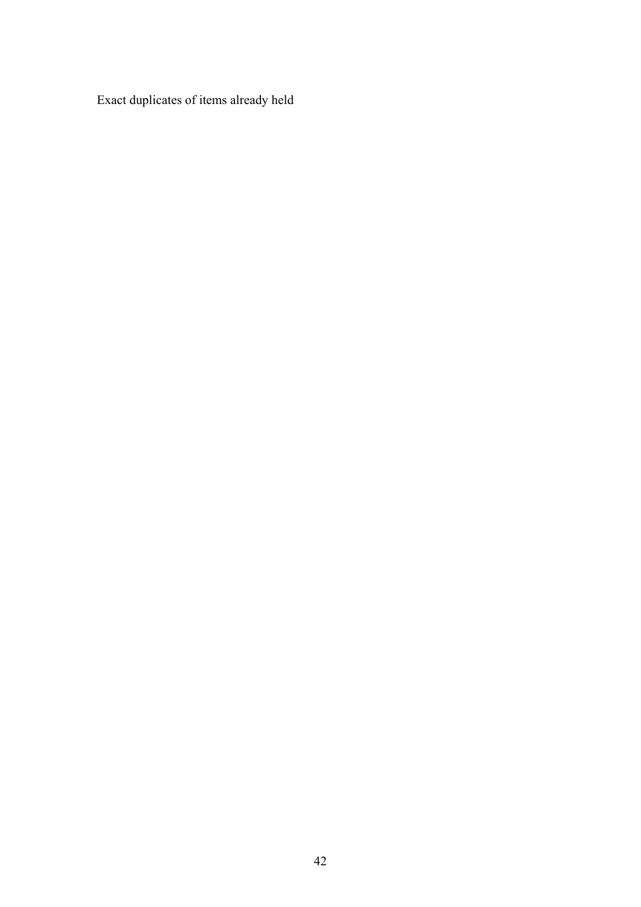Exact duplicates of items already held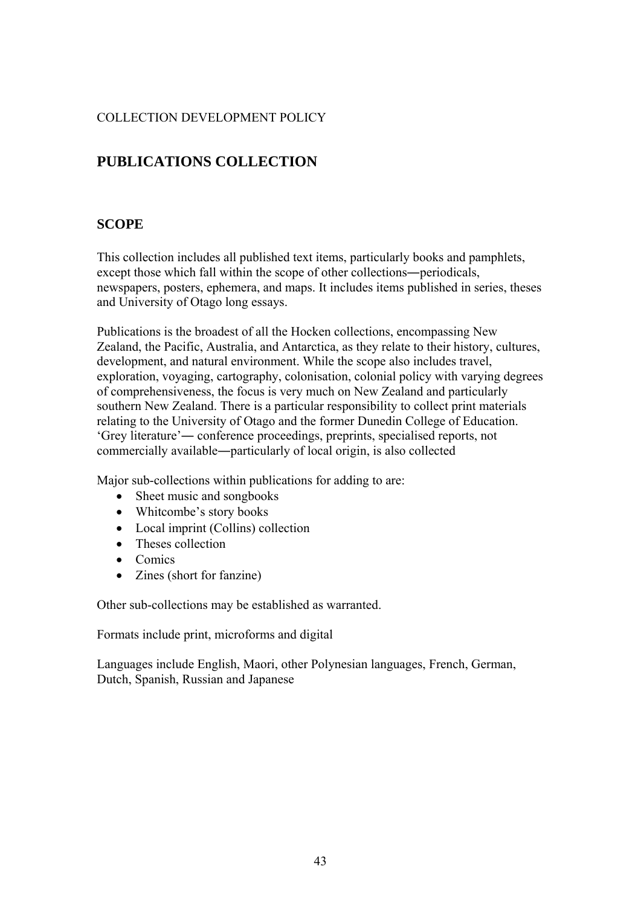# <span id="page-42-0"></span>**PUBLICATIONS COLLECTION**

## **SCOPE**

This collection includes all published text items, particularly books and pamphlets, except those which fall within the scope of other collections―periodicals, newspapers, posters, ephemera, and maps. It includes items published in series, theses and University of Otago long essays.

Publications is the broadest of all the Hocken collections, encompassing New Zealand, the Pacific, Australia, and Antarctica, as they relate to their history, cultures, development, and natural environment. While the scope also includes travel, exploration, voyaging, cartography, colonisation, colonial policy with varying degrees of comprehensiveness, the focus is very much on New Zealand and particularly southern New Zealand. There is a particular responsibility to collect print materials relating to the University of Otago and the former Dunedin College of Education. 'Grey literature'― conference proceedings, preprints, specialised reports, not commercially available―particularly of local origin, is also collected

Major sub-collections within publications for adding to are:

- Sheet music and songbooks
- Whitcombe's story books
- Local imprint (Collins) collection
- Theses collection
- Comics
- Zines (short for fanzine)

Other sub-collections may be established as warranted.

Formats include print, microforms and digital

Languages include English, Maori, other Polynesian languages, French, German, Dutch, Spanish, Russian and Japanese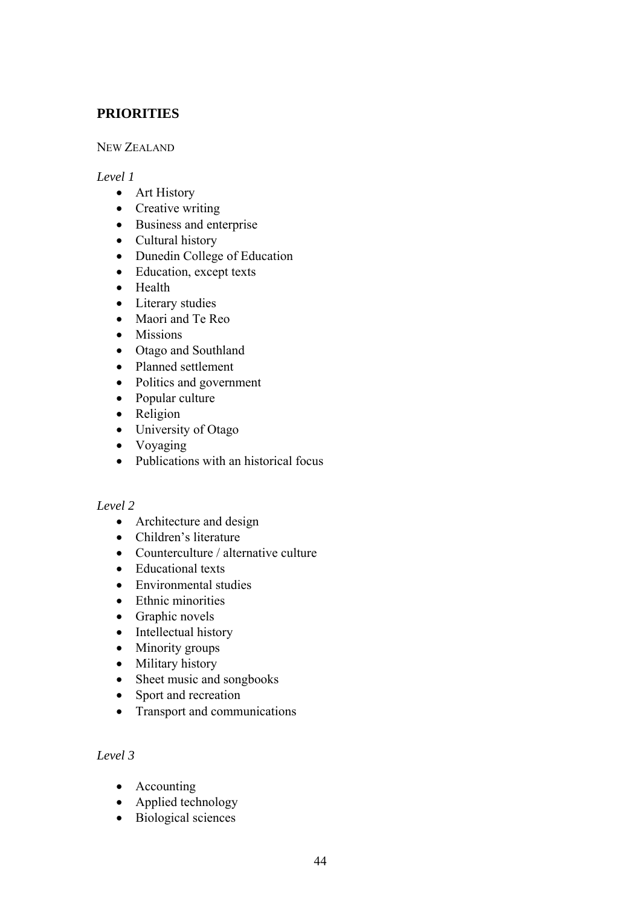## <span id="page-43-0"></span>**PRIORITIES**

#### NEW ZEALAND

#### *Level 1*

- Art History
- Creative writing
- Business and enterprise
- Cultural history
- Dunedin College of Education
- Education, except texts
- Health
- Literary studies
- Maori and Te Reo
- Missions
- Otago and Southland
- Planned settlement
- Politics and government
- Popular culture
- Religion
- University of Otago
- Voyaging
- Publications with an historical focus

#### *Level 2*

- Architecture and design
- Children's literature
- Counterculture / alternative culture
- Educational texts
- Environmental studies
- Ethnic minorities
- Graphic novels
- Intellectual history
- Minority groups
- Military history
- Sheet music and songbooks
- Sport and recreation
- Transport and communications

### *Level 3*

- Accounting
- Applied technology
- Biological sciences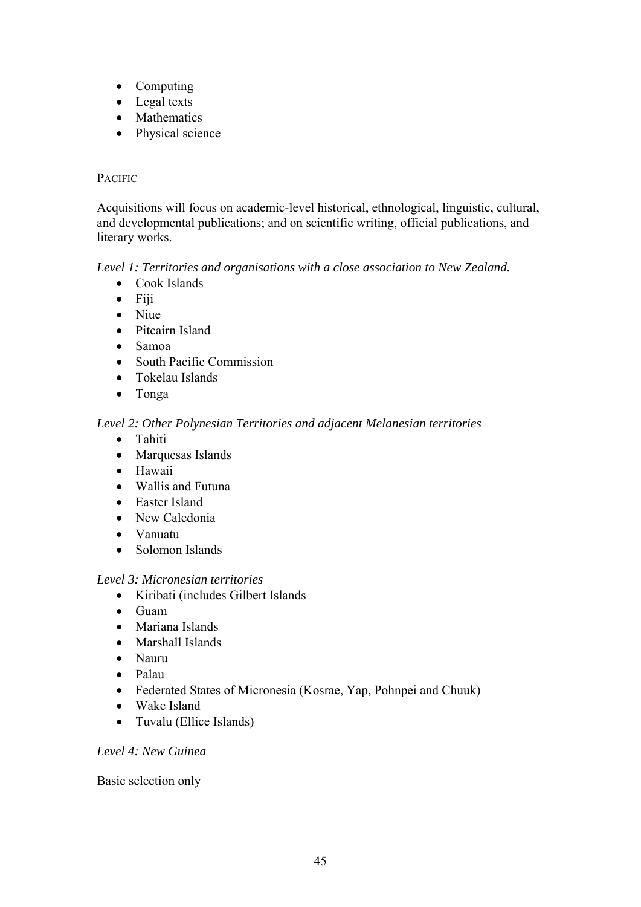- Computing
- Legal texts
- Mathematics
- Physical science

#### PACIFIC

Acquisitions will focus on academic-level historical, ethnological, linguistic, cultural, and developmental publications; and on scientific writing, official publications, and literary works.

#### *Level 1: Territories and organisations with a close association to New Zealand.*

- Cook Islands
- Fiji
- Niue
- Pitcairn Island
- Samoa
- South Pacific Commission
- Tokelau Islands
- Tonga

#### *Level 2: Other Polynesian Territories and adjacent Melanesian territories*

- Tahiti
- Marquesas Islands
- Hawaii
- Wallis and Futuna
- Easter Island
- New Caledonia
- Vanuatu
- Solomon Islands

#### *Level 3: Micronesian territories*

- Kiribati (includes Gilbert Islands
- Guam
- Mariana Islands
- Marshall Islands
- Nauru
- Palau
- Federated States of Micronesia (Kosrae, Yap, Pohnpei and Chuuk)
- Wake Island
- Tuvalu (Ellice Islands)

### *Level 4: New Guinea*

Basic selection only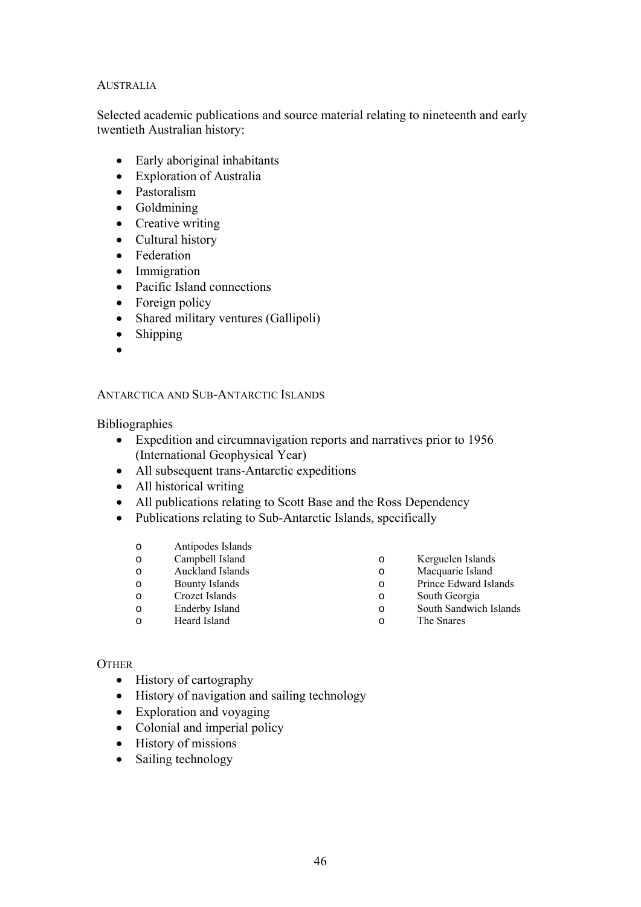#### AUSTRALIA

Selected academic publications and source material relating to nineteenth and early twentieth Australian history:

- Early aboriginal inhabitants
- Exploration of Australia
- Pastoralism
- Goldmining
- Creative writing
- Cultural history
- Federation
- Immigration
- Pacific Island connections
- Foreign policy
- Shared military ventures (Gallipoli)
- Shipping
- •

#### ANTARCTICA AND SUB-ANTARCTIC ISLANDS

**Bibliographies** 

- Expedition and circumnavigation reports and narratives prior to 1956 (International Geophysical Year)
- All subsequent trans-Antarctic expeditions
- All historical writing
- All publications relating to Scott Base and the Ross Dependency
- Publications relating to Sub-Antarctic Islands, specifically
	- o Antipodes Islands
	- o Campbell Island
	- o Auckland Islands
	- o Bounty Islands
	- o Crozet Islands
	- o Enderby Island
- o Kerguelen Islands
- o Macquarie Island
- o Prince Edward Islands
- o South Georgia
- o South Sandwich Islands o The Snares

o Heard Island

#### **OTHER**

- History of cartography
- History of navigation and sailing technology
- Exploration and voyaging
- Colonial and imperial policy
- History of missions
- Sailing technology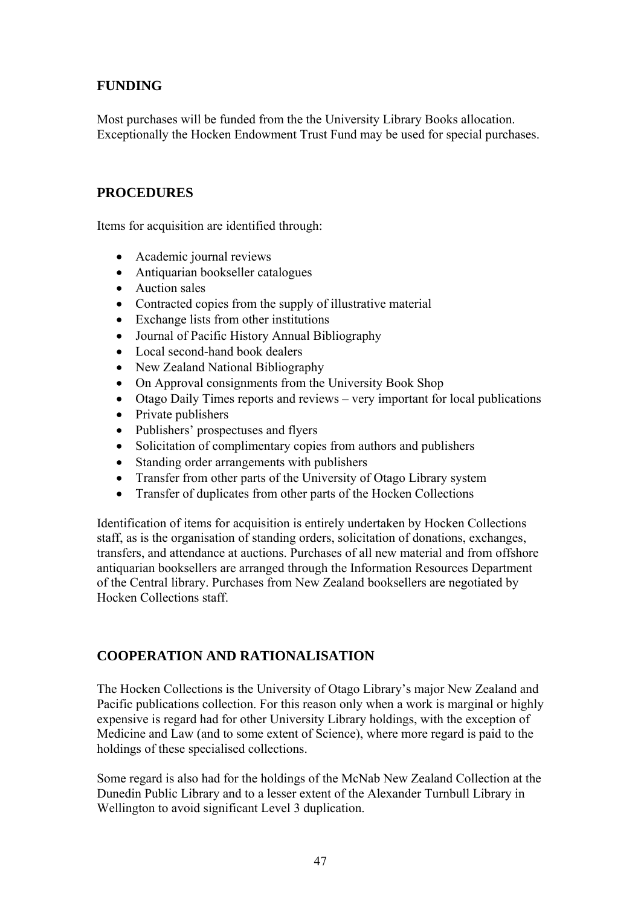# <span id="page-46-0"></span>**FUNDING**

Most purchases will be funded from the the University Library Books allocation. Exceptionally the Hocken Endowment Trust Fund may be used for special purchases.

### **PROCEDURES**

Items for acquisition are identified through:

- Academic journal reviews
- Antiquarian bookseller catalogues
- Auction sales
- Contracted copies from the supply of illustrative material
- Exchange lists from other institutions
- Journal of Pacific History Annual Bibliography
- Local second-hand book dealers
- New Zealand National Bibliography
- On Approval consignments from the University Book Shop
- Otago Daily Times reports and reviews very important for local publications
- Private publishers
- Publishers' prospectuses and flyers
- Solicitation of complimentary copies from authors and publishers
- Standing order arrangements with publishers
- Transfer from other parts of the University of Otago Library system
- Transfer of duplicates from other parts of the Hocken Collections

Identification of items for acquisition is entirely undertaken by Hocken Collections staff, as is the organisation of standing orders, solicitation of donations, exchanges, transfers, and attendance at auctions. Purchases of all new material and from offshore antiquarian booksellers are arranged through the Information Resources Department of the Central library. Purchases from New Zealand booksellers are negotiated by Hocken Collections staff.

## **COOPERATION AND RATIONALISATION**

The Hocken Collections is the University of Otago Library's major New Zealand and Pacific publications collection. For this reason only when a work is marginal or highly expensive is regard had for other University Library holdings, with the exception of Medicine and Law (and to some extent of Science), where more regard is paid to the holdings of these specialised collections.

Some regard is also had for the holdings of the McNab New Zealand Collection at the Dunedin Public Library and to a lesser extent of the Alexander Turnbull Library in Wellington to avoid significant Level 3 duplication.